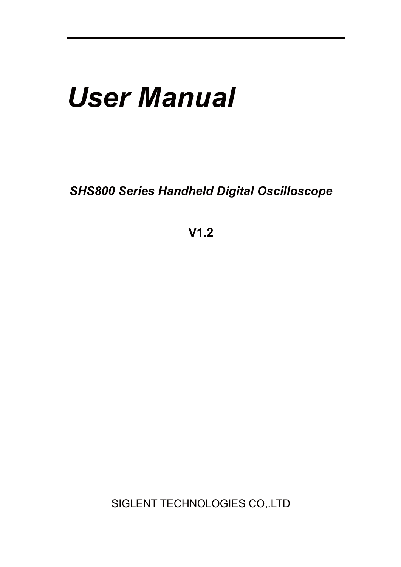# *User Manual*

*SHS800 Series Handheld Digital Oscilloscope* 

**V1.2** 

SIGLENT TECHNOLOGIES CO,.LTD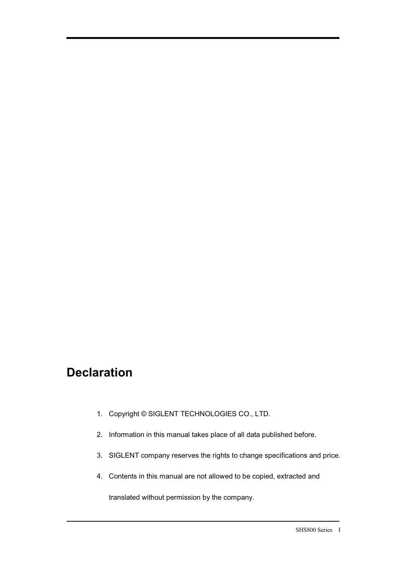# **Declaration**

l

- 1. Copyright © SIGLENT TECHNOLOGIES CO., LTD.
- 2. Information in this manual takes place of all data published before.
- 3. SIGLENT company reserves the rights to change specifications and price.
- 4. Contents in this manual are not allowed to be copied, extracted and

translated without permission by the company.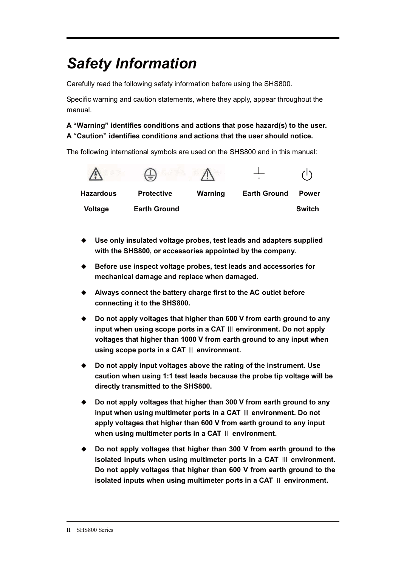# *Safety Information*

Carefully read the following safety information before using the SHS800.

Specific warning and caution statements, where they apply, appear throughout the manual.

#### **A "Warning" identifies conditions and actions that pose hazard(s) to the user. A "Caution" identifies conditions and actions that the user should notice.**

The following international symbols are used on the SHS800 and in this manual:



- **Use only insulated voltage probes, test leads and adapters supplied with the SHS800, or accessories appointed by the company.**
- ◆ Before use inspect voltage probes, test leads and accessories for **mechanical damage and replace when damaged.**
- ◆ Always connect the battery charge first to the AC outlet before **connecting it to the SHS800.**
- $\blacklozenge$  **Do not apply voltages that higher than 600 V from earth ground to any input when using scope ports in a CAT ዞ environment. Do not apply voltages that higher than 1000 V from earth ground to any input when using scope ports in a CAT ዝ environment.**
- ◆ Do not apply input voltages above the rating of the instrument. Use **caution when using 1:1 test leads because the probe tip voltage will be directly transmitted to the SHS800.**
- $\blacklozenge$  **Do not apply voltages that higher than 300 V from earth ground to any input when using multimeter ports in a CAT ዞ environment. Do not apply voltages that higher than 600 V from earth ground to any input when using multimeter ports in a CAT ዝ environment.**
- $\bullet$  **Do not apply voltages that higher than 300 V from earth ground to the isolated inputs when using multimeter ports in a CAT ዞ environment. Do not apply voltages that higher than 600 V from earth ground to the isolated inputs when using multimeter ports in a CAT ዝ environment.**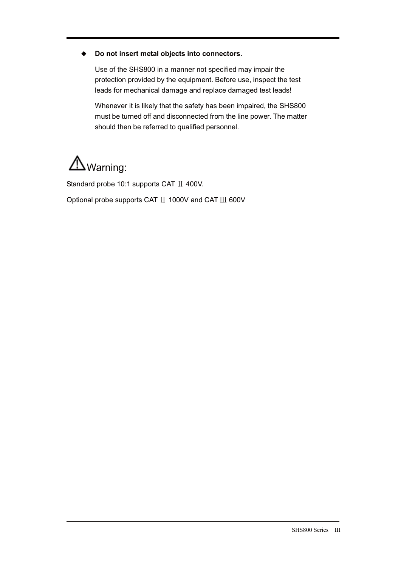#### $\bullet$ **Do not insert metal objects into connectors.**

Use of the SHS800 in a manner not specified may impair the protection provided by the equipment. Before use, inspect the test leads for mechanical damage and replace damaged test leads!

Whenever it is likely that the safety has been impaired, the SHS800 must be turned off and disconnected from the line power. The matter should then be referred to qualified personnel.

# Warning:

l

Standard probe 10:1 supports CAT II 400V.

Optional probe supports CAT II 1000V and CAT III 600V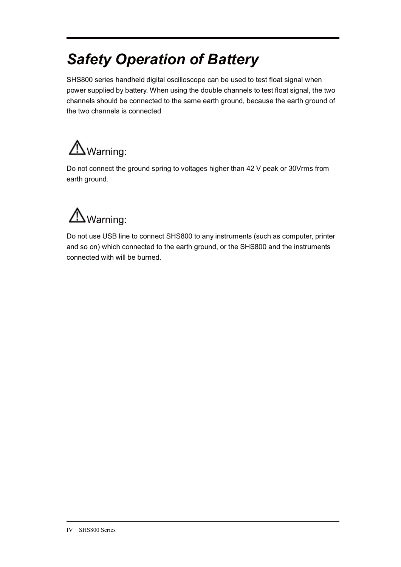# *Safety Operation of Battery*

SHS800 series handheld digital oscilloscope can be used to test float signal when power supplied by battery. When using the double channels to test float signal, the two channels should be connected to the same earth ground, because the earth ground of the two channels is connected

# Warning:

Do not connect the ground spring to voltages higher than 42 V peak or 30Vrms from earth ground.

# Warning:

Do not use USB line to connect SHS800 to any instruments (such as computer, printer and so on) which connected to the earth ground, or the SHS800 and the instruments connected with will be burned.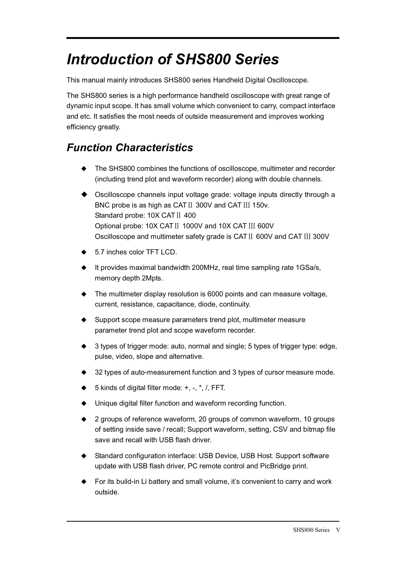# *Introduction of SHS800 Series*

This manual mainly introduces SHS800 series Handheld Digital Oscilloscope.

The SHS800 series is a high performance handheld oscilloscope with great range of dynamic input scope. It has small volume which convenient to carry, compact interface and etc. It satisfies the most needs of outside measurement and improves working efficiency greatly.

# *Function Characteristics*

l

- $\blacklozenge$  The SHS800 combines the functions of oscilloscope, multimeter and recorder (including trend plot and waveform recorder) along with double channels.
- ◆ Oscilloscope channels input voltage grade: voltage inputs directly through a BNC probe is as high as CAT II 300V and CAT III 150v. Standard probe: 10X CAT II 400 Optional probe: 10X CAT II 1000V and 10X CAT III 600V Oscilloscope and multimeter safety grade is CAT II 600V and CAT III 300V
- ◆ 5.7 inches color TFT LCD.
- It provides maximal bandwidth 200MHz, real time sampling rate 1GSa/s, memory depth 2Mpts.
- The multimeter display resolution is 6000 points and can measure voltage, current, resistance, capacitance, diode, continuity.
- Support scope measure parameters trend plot, multimeter measure parameter trend plot and scope waveform recorder.
- ◆ 3 types of trigger mode: auto, normal and single; 5 types of trigger type: edge, pulse, video, slope and alternative.
- ◆ 32 types of auto-measurement function and 3 types of cursor measure mode.
- ◆ 5 kinds of digital filter mode: +, -, \*, /, FFT.
- Unique digital filter function and waveform recording function.
- $\bullet$  2 groups of reference waveform, 20 groups of common waveform, 10 groups of setting inside save / recall; Support waveform, setting, CSV and bitmap file save and recall with USB flash driver.
- ◆ Standard configuration interface: USB Device, USB Host. Support software update with USB flash driver, PC remote control and PicBridge print.
- ◆ For its build-in Li battery and small volume, it's convenient to carry and work outside.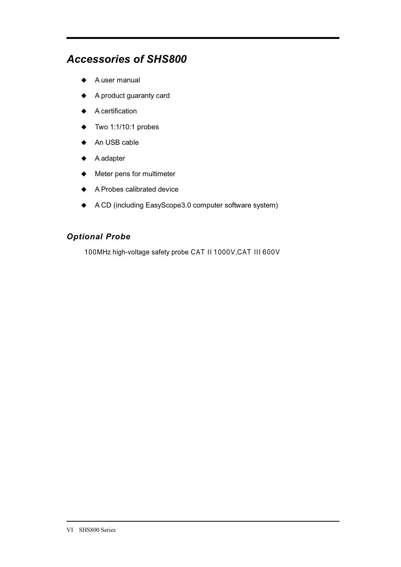## *Accessories of SHS800*

- ◆ A user manual
- ◆ A product guaranty card
- ◆ A certification
- $\blacklozenge$  Two 1:1/10:1 probes
- ◆ An USB cable
- ◆ A adapter
- ◆ Meter pens for multimeter
- ◆ A Probes calibrated device
- ◆ A CD (including EasyScope3.0 computer software system)

### *Optional Probe*

100MHz high-voltage safety probe CAT II 1000V,CAT III 600V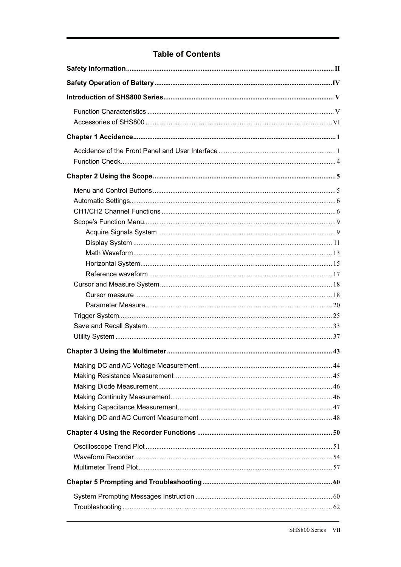## **Table of Contents**

| 44 |
|----|
|    |
|    |
|    |
|    |
|    |
|    |
|    |
|    |
|    |
|    |
|    |
|    |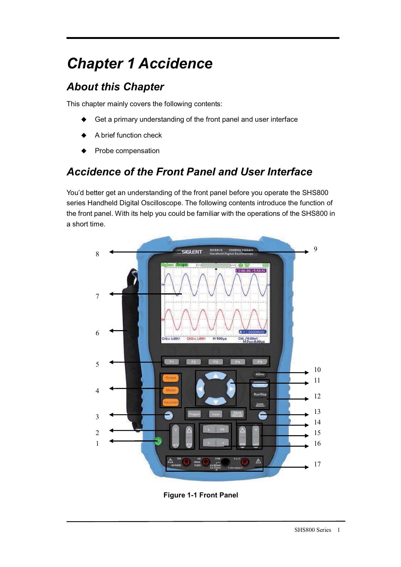# *Chapter 1 Accidence*

# *About this Chapter*

This chapter mainly covers the following contents:

- $\blacklozenge$ Get a primary understanding of the front panel and user interface
- $\ddot{\bullet}$ A brief function check
- $\ddot{\bullet}$ Probe compensation

# *Accidence of the Front Panel and User Interface*

You'd better get an understanding of the front panel before you operate the SHS800 series Handheld Digital Oscilloscope. The following contents introduce the function of the front panel. With its help you could be familiar with the operations of the SHS800 in a short time.



**Figure 1-1 Front Panel**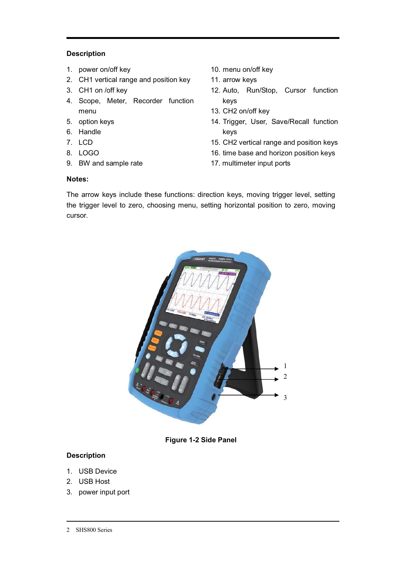#### **Description**

- 1. power on/off key
- 2. CH1 vertical range and position key
- 3. CH1 on /off key
- 4. Scope, Meter, Recorder function menu
- 5. option keys
- 6. Handle
- 7. LCD
- 8. LOGO
- 9. BW and sample rate
- 10. menu on/off key
- 11. arrow keys
- 12. Auto, Run/Stop, Cursor function keys
- 13. CH2 on/off key
- 14. Trigger, User, Save/Recall function keys
- 15. CH2 vertical range and position keys
- 16. time base and horizon position keys
- 17. multimeter input ports

#### **Notes:**

The arrow keys include these functions: direction keys, moving trigger level, setting the trigger level to zero, choosing menu, setting horizontal position to zero, moving cursor.



**Figure 1-2 Side Panel** 

#### **Description**

- 1. USB Device
- 2. USB Host
- 3. power input port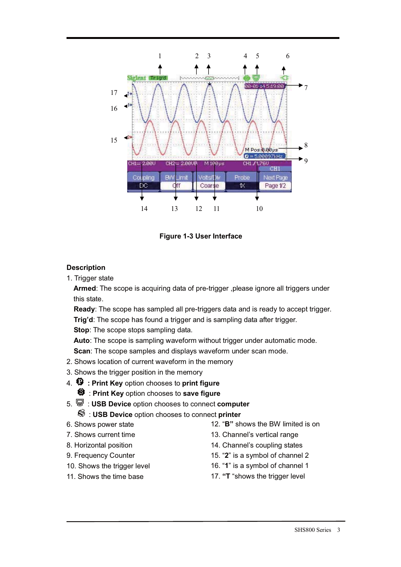

**Figure 1-3 User Interface** 

#### **Description**

1. Trigger state

**Armed**: The scope is acquiring data of pre-trigger ,please ignore all triggers under this state.

**Ready**: The scope has sampled all pre-triggers data and is ready to accept trigger. **Trig'd**: The scope has found a trigger and is sampling data after trigger.

**Stop:** The scope stops sampling data.

**Auto**: The scope is sampling waveform without trigger under automatic mode.

**Scan**: The scope samples and displays waveform under scan mode.

- 2. Shows location of current waveform in the memory
- 3. Shows the trigger position in the memory
- 4. **: Print Key** option chooses to **print figure**
	- : **Print Key** option chooses to **save figure**
- 5. : **USB Device** option chooses to connect **computer**

#### : **USB Device** option chooses to connect **printer**

- 6. Shows power state
- 7. Shows current time
- 8. Horizontal position
- 9. Frequency Counter
- 10. Shows the trigger level
- 11. Shows the time base
- 12. "**B"** shows the BW limited is on
- 13. Channel's vertical range
- 14. Channel's coupling states
- 15. "**2**" is a symbol of channel 2
- 16. "**1**" is a symbol of channel 1
- 17. **"T** "shows the trigger level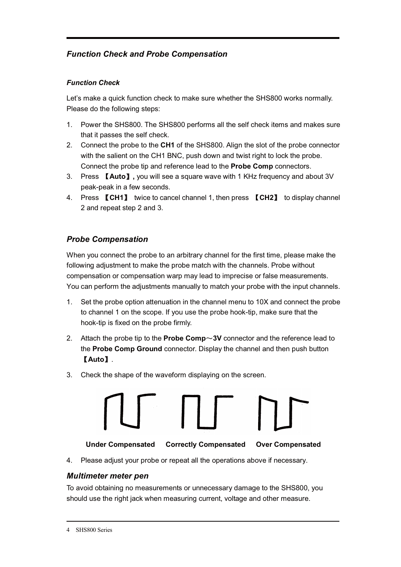## *Function Check and Probe Compensation*

#### *Function Check*

Let's make a quick function check to make sure whether the SHS800 works normally. Please do the following steps:

- 1. Power the SHS800. The SHS800 performs all the self check items and makes sure that it passes the self check.
- 2. Connect the probe to the **CH1** of the SHS800. Align the slot of the probe connector with the salient on the CH1 BNC, push down and twist right to lock the probe. Connect the probe tip and reference lead to the **Probe Comp** connectors.
- 3. Press Ǐ**Auto**ǐ**,** you will see a square wave with 1 KHz frequency and about 3V peak-peak in a few seconds.
- 4. Press Ǐ**CH1**ǐ twice to cancel channel 1, then press Ǐ**CH2**ǐ to display channel 2 and repeat step 2 and 3.

### *Probe Compensation*

When you connect the probe to an arbitrary channel for the first time, please make the following adjustment to make the probe match with the channels. Probe without compensation or compensation warp may lead to imprecise or false measurements. You can perform the adjustments manually to match your probe with the input channels.

- 1. Set the probe option attenuation in the channel menu to 10X and connect the probe to channel 1 on the scope. If you use the probe hook-tip, make sure that the hook-tip is fixed on the probe firmly.
- 2. Attach the probe tip to the **Probe Comp** $\sim$ **3V** connector and the reference lead to the **Probe Comp Ground** connector. Display the channel and then push button Ǐ**Auto**ǐ.
- 3. Check the shape of the waveform displaying on the screen.



**Under Compensated Correctly Compensated Over Compensated** 

4. Please adjust your probe or repeat all the operations above if necessary.

### *Multimeter meter pen*

To avoid obtaining no measurements or unnecessary damage to the SHS800, you should use the right jack when measuring current, voltage and other measure.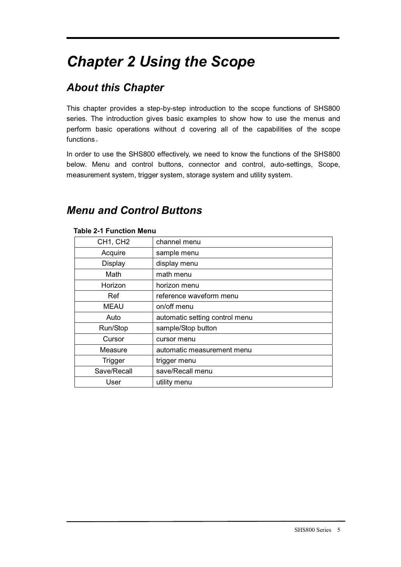# *Chapter 2 Using the Scope*

# *About this Chapter*

This chapter provides a step-by-step introduction to the scope functions of SHS800 series. The introduction gives basic examples to show how to use the menus and perform basic operations without d covering all of the capabilities of the scope functions.

In order to use the SHS800 effectively, we need to know the functions of the SHS800 below. Menu and control buttons, connector and control, auto-settings, Scope, measurement system, trigger system, storage system and utility system.

# *Menu and Control Buttons*

| Table 2-T Function Menu |                                |  |  |  |
|-------------------------|--------------------------------|--|--|--|
| CH1, CH2                | channel menu                   |  |  |  |
| Acquire                 | sample menu                    |  |  |  |
| <b>Display</b>          | display menu                   |  |  |  |
| Math                    | math menu                      |  |  |  |
| Horizon                 | horizon menu                   |  |  |  |
| Ref                     | reference waveform menu        |  |  |  |
| <b>MEAU</b>             | on/off menu                    |  |  |  |
| Auto                    | automatic setting control menu |  |  |  |
| Run/Stop                | sample/Stop button             |  |  |  |
| Cursor                  | cursor menu                    |  |  |  |
| Measure                 | automatic measurement menu     |  |  |  |
| <b>Trigger</b>          | trigger menu                   |  |  |  |
| Save/Recall             | save/Recall menu               |  |  |  |
| User                    | utility menu                   |  |  |  |
|                         |                                |  |  |  |

#### **Table 2-1 Function Menu**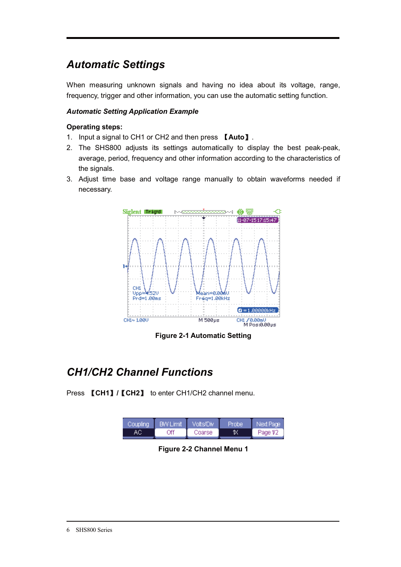# *Automatic Settings*

When measuring unknown signals and having no idea about its voltage, range, frequency, trigger and other information, you can use the automatic setting function.

#### *Automatic Setting Application Example*

#### **Operating steps:**

- 1. Input a signal to CH1 or CH2 and then press Ǐ**Auto**ǐ.
- 2. The SHS800 adjusts its settings automatically to display the best peak-peak, average, period, frequency and other information according to the characteristics of the signals.
- 3. Adjust time base and voltage range manually to obtain waveforms needed if necessary.



**Figure 2-1 Automatic Setting** 

# *CH1/CH2 Channel Functions*

Press **[CH1] / [CH2]** to enter CH1/CH2 channel menu.

| Coupling | <b>BW Limit</b> | Volts/Div. | (Probe | Next Page |
|----------|-----------------|------------|--------|-----------|
|          | Off             | Coarse     | K      | Page 1/2  |

**Figure 2-2 Channel Menu 1**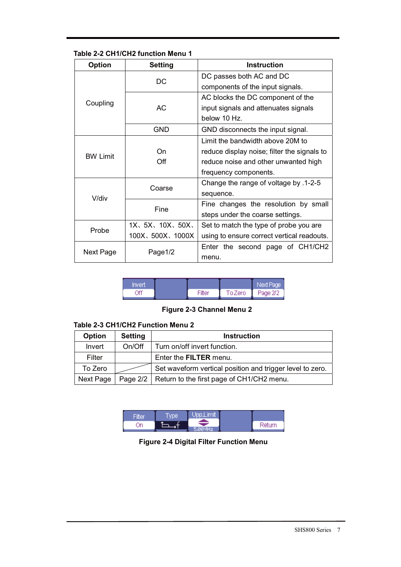#### **Table 2-2 CH1/CH2 function Menu 1**

| <b>Setting</b><br><b>Option</b> |                   | Instruction                                 |  |
|---------------------------------|-------------------|---------------------------------------------|--|
|                                 | DC                | DC passes both AC and DC                    |  |
|                                 |                   | components of the input signals.            |  |
|                                 |                   | AC blocks the DC component of the           |  |
| Coupling                        | AC.               | input signals and attenuates signals        |  |
|                                 |                   | below 10 Hz.                                |  |
|                                 | GND               | GND disconnects the input signal.           |  |
|                                 |                   | Limit the bandwidth above 20M to            |  |
| <b>BW Limit</b>                 | On.               | reduce display noise; filter the signals to |  |
|                                 | Off               | reduce noise and other unwanted high        |  |
|                                 |                   | frequency components.                       |  |
|                                 | Coarse            | Change the range of voltage by .1-2-5       |  |
| V/div                           |                   | sequence.                                   |  |
|                                 | Fine              | Fine changes the resolution by small        |  |
|                                 |                   | steps under the coarse settings.            |  |
| Probe                           | 1X, 5X, 10X, 50X, | Set to match the type of probe you are      |  |
|                                 | 100X, 500X, 1000X | using to ensure correct vertical readouts.  |  |
| Next Page                       | Page1/2           | Enter the second page of CH1/CH2            |  |
|                                 |                   | menu.                                       |  |

| Invert |        |         | Next Page |
|--------|--------|---------|-----------|
| . Yff  | Filter | To Zero | Page 2/2  |

### **Figure 2-3 Channel Menu 2**

#### **Table 2-3 CH1/CH2 Function Menu 2**

| <b>Option</b> | <b>Setting</b> | <b>Instruction</b>                                        |
|---------------|----------------|-----------------------------------------------------------|
| Invert        | On/Off         | Turn on/off invert function.                              |
| Filter        |                | Enter the <b>FILTER</b> menu.                             |
| To Zero       |                | Set waveform vertical position and trigger level to zero. |
| Next Page     |                | Page 2/2   Return to the first page of CH1/CH2 menu.      |

|    | <b>Aype</b> | _imit<br><b>STATE</b> |        |
|----|-------------|-----------------------|--------|
| )n |             |                       | Return |

**Figure 2-4 Digital Filter Function Menu**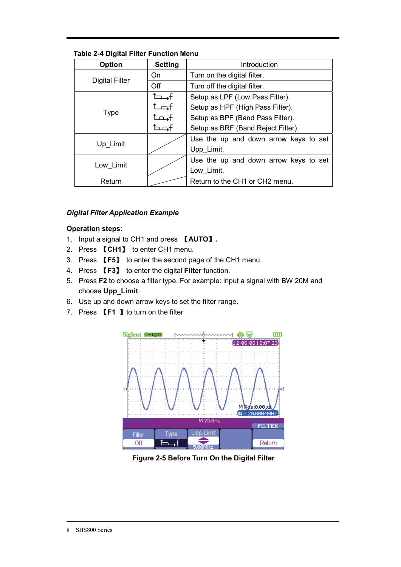| <b>Option</b>                            | <b>Setting</b> | Introduction                          |  |
|------------------------------------------|----------------|---------------------------------------|--|
| <b>Digital Filter</b>                    | On             | Turn on the digital filter.           |  |
|                                          | Off            | Turn off the digital filter.          |  |
|                                          | − .+           | Setup as LPF (Low Pass Filter).       |  |
|                                          | +ت             | Setup as HPF (High Pass Filter).      |  |
| <b>Type</b>                              | fہصٹ           | Setup as BPF (Band Pass Filter).      |  |
|                                          | fصط            | Setup as BRF (Band Reject Filter).    |  |
|                                          |                | Use the up and down arrow keys to set |  |
| Up Limit                                 |                | Upp Limit.                            |  |
|                                          |                | Use the up and down arrow keys to set |  |
| Low Limit                                |                | Low Limit.                            |  |
| Return to the CH1 or CH2 menu.<br>Return |                |                                       |  |

**Table 2-4 Digital Filter Function Menu** 

#### *Digital Filter Application Example*

#### **Operation steps:**

- 1. Input a signal to CH1 and press **[AUTO]**.
- 2. Press **[CH1]** to enter CH1 menu.
- 3. Press Ǐ**F5**ǐ to enter the second page of the CH1 menu.
- 4. Press Ǐ**F3**ǐ to enter the digital **Filter** function.
- 5. Press **F2** to choose a filter type. For example: input a signal with BW 20M and choose **Upp\_Limit**.
- 6. Use up and down arrow keys to set the filter range.
- 7. Press **【F1 】**to turn on the filter



**Figure 2-5 Before Turn On the Digital Filter**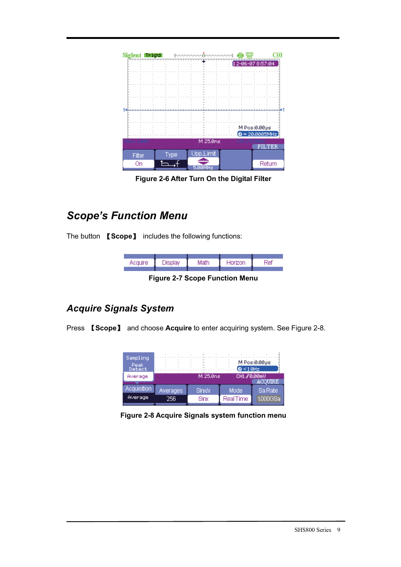

**Figure 2-6 After Turn On the Digital Filter** 

# *Scope's Function Menu*

The button Ǐ**Scope**ǐ includes the following functions:



**Figure 2-7 Scope Function Menu** 

## *Acquire Signals System*

Press **[Scope]** and choose **Acquire** to enter acquiring system. See Figure 2-8.

| Sampling<br>Peak<br>Detect<br>Average |                 | M 25.0ns | $6 < 10$ Hz<br>CH1 / 0.00mU | M Pos:0.00ps |
|---------------------------------------|-----------------|----------|-----------------------------|--------------|
| Acquisition                           | <b>Averages</b> | Sinx/x   | Mode                        | Sa Rate      |
| Average                               | 256             | Sinx     | <b>RealTime</b>             | 1.000GSa     |

**Figure 2-8 Acquire Signals system function menu**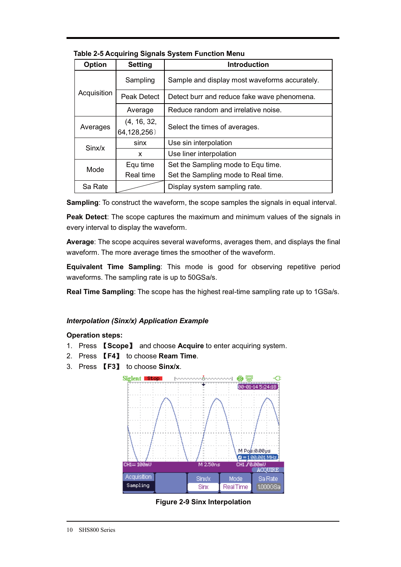| <b>Option</b> | <b>Setting</b>             | <b>Introduction</b>                           |
|---------------|----------------------------|-----------------------------------------------|
|               | Sampling                   | Sample and display most waveforms accurately. |
| Acquisition   | <b>Peak Detect</b>         | Detect burr and reduce fake wave phenomena.   |
|               | Average                    | Reduce random and irrelative noise.           |
| Averages      | (4, 16, 32,<br>64,128,256) | Select the times of averages.                 |
| Sinx/x        | sinx                       | Use sin interpolation                         |
|               | x                          | Use liner interpolation                       |
| Mode          | Equ time                   | Set the Sampling mode to Equ time.            |
|               | Real time                  | Set the Sampling mode to Real time.           |
| Sa Rate       |                            | Display system sampling rate.                 |

**Table 2-5 Acquiring Signals System Function Menu** 

**Sampling**: To construct the waveform, the scope samples the signals in equal interval.

**Peak Detect**: The scope captures the maximum and minimum values of the signals in every interval to display the waveform.

**Average**: The scope acquires several waveforms, averages them, and displays the final waveform. The more average times the smoother of the waveform.

**Equivalent Time Sampling**: This mode is good for observing repetitive period waveforms. The sampling rate is up to 50GSa/s.

**Real Time Sampling**: The scope has the highest real-time sampling rate up to 1GSa/s.

#### *Interpolation (Sinx/x) Application Example*

#### **Operation steps:**

- 1. Press Ǐ**Scope**ǐ and choose **Acquire** to enter acquiring system.
- 2. Press Ǐ**F4**ǐ to choose **Ream Time**.
- 3. Press Ǐ**F3**ǐ to choose **Sinx/x**.



**Figure 2-9 Sinx Interpolation**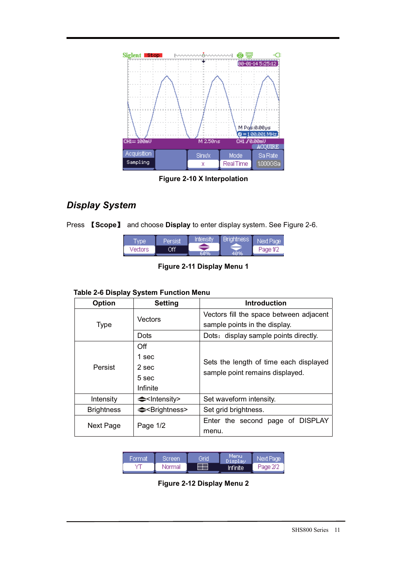

**Figure 2-10 X Interpolation** 

## *Display System*

|  | Press <b>[Scope]</b> and choose Display to enter display system. See Figure 2-6. |  |
|--|----------------------------------------------------------------------------------|--|
|  |                                                                                  |  |

| vpe     | Persist | Intensity | <b>Brightness</b> | Next Paœll |
|---------|---------|-----------|-------------------|------------|
| Vectors | Эff     |           | 40%               | Page 1/2   |

**Figure 2-11 Display Menu 1** 

## **Table 2-6 Display System Function Menu**

| <b>Option</b>     | <b>Setting</b>              | <b>Introduction</b>                     |
|-------------------|-----------------------------|-----------------------------------------|
|                   | Vectors                     | Vectors fill the space between adjacent |
| <b>Type</b>       |                             | sample points in the display.           |
|                   | Dots                        | Dots: display sample points directly.   |
|                   | Off                         |                                         |
|                   | 1 sec                       | Sets the length of time each displayed  |
| Persist           | 2 sec                       | sample point remains displayed.         |
|                   | 5 sec                       |                                         |
|                   | Infinite                    |                                         |
| Intensity         | $\triangle$ - Intensity>    | Set waveform intensity.                 |
| <b>Brightness</b> | ← <brightness></brightness> | Set grid brightness.                    |
|                   | Page $1/2$                  | Enter the second page of DISPLAY        |
| Next Page         |                             | menu.                                   |



**Figure 2-12 Display Menu 2**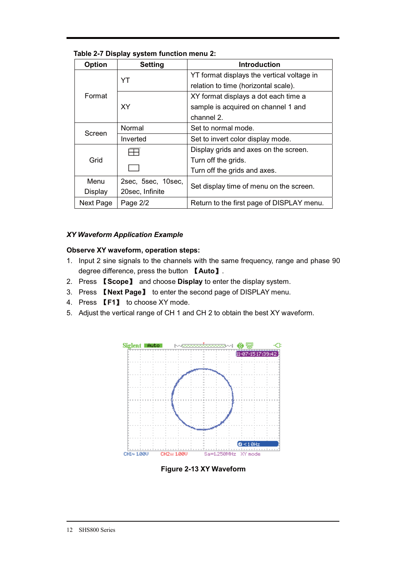| <b>Option</b> | <b>Setting</b>     | <b>Introduction</b>                        |
|---------------|--------------------|--------------------------------------------|
|               | YT                 | YT format displays the vertical voltage in |
|               |                    | relation to time (horizontal scale).       |
| Format        |                    | XY format displays a dot each time a       |
|               | <b>XY</b>          | sample is acquired on channel 1 and        |
|               |                    | channel 2.                                 |
| Screen        | Normal             | Set to normal mode.                        |
|               | Inverted           | Set to invert color display mode.          |
|               |                    | Display grids and axes on the screen.      |
| Grid          |                    | Turn off the grids.                        |
|               |                    | Turn off the grids and axes.               |
| Menu          | 2sec, 5sec, 10sec, | Set display time of menu on the screen.    |
| Display       | 20sec, Infinite    |                                            |
| Next Page     | Page 2/2           | Return to the first page of DISPLAY menu.  |

#### **Table 2-7 Display system function menu 2:**

#### *XY Waveform Application Example*

#### **Observe XY waveform, operation steps:**

- 1. Input 2 sine signals to the channels with the same frequency, range and phase 90 degree difference, press the button **【Auto】**.
- 2. Press Ǐ**Scope**ǐ and choose **Display** to enter the display system.
- 3. Press Ǐ**Next Page**ǐ to enter the second page of DISPLAY menu.
- 4. Press **【F1】** to choose XY mode.
- 5. Adjust the vertical range of CH 1 and CH 2 to obtain the best XY waveform.



**Figure 2-13 XY Waveform**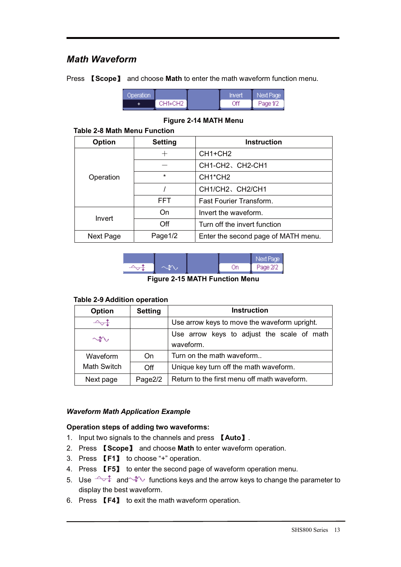## *Math Waveform*

Press Ǐ**Scope**ǐ and choose **Math** to enter the math waveform function menu.

| Operation. |         | Invert | Next Page |
|------------|---------|--------|-----------|
|            | CH1+CH2 | Off    | Page 1/2  |

#### **Figure 2-14 MATH Menu**

#### **Table 2-8 Math Menu Function**

| <b>Option</b> | <b>Setting</b> | <b>Instruction</b>                  |
|---------------|----------------|-------------------------------------|
|               |                | CH <sub>1+CH2</sub>                 |
|               |                | CH1-CH2、CH2-CH1                     |
| Operation     | *              | CH <sub>1</sub> *CH <sub>2</sub>    |
|               |                | CH1/CH2、CH2/CH1                     |
|               | <b>FFT</b>     | <b>Fast Fourier Transform.</b>      |
| Invert        | On             | Invert the waveform.                |
|               | Off            | Turn off the invert function        |
| Next Page     | Page1/2        | Enter the second page of MATH menu. |



**Figure 2-15 MATH Function Menu** 

#### **Table 2-9 Addition operation**

| Option             | <b>Setting</b> | <b>Instruction</b>                                      |
|--------------------|----------------|---------------------------------------------------------|
| -∽∾                |                | Use arrow keys to move the waveform upright.            |
| $\rightsquigarrow$ |                | Use arrow keys to adjust the scale of math<br>waveform. |
| Waveform           | On             | Turn on the math waveform                               |
| <b>Math Switch</b> | Off            | Unique key turn off the math waveform.                  |
| Next page          | Page2/2        | Return to the first menu off math waveform.             |

#### *Waveform Math Application Example*

#### **Operation steps of adding two waveforms:**

- 1. Input two signals to the channels and press **[Auto]**.
- 2. Press Ǐ**Scope**ǐ and choose **Math** to enter waveform operation.
- 3. Press **[F1]** to choose "+" operation.
- 4. Press **【F5】** to enter the second page of waveform operation menu.
- 5. Use  $\sqrt{a}$  and  $\sqrt{a}$  functions keys and the arrow keys to change the parameter to display the best waveform.
- 6. Press Ǐ**F4**ǐ to exit the math waveform operation.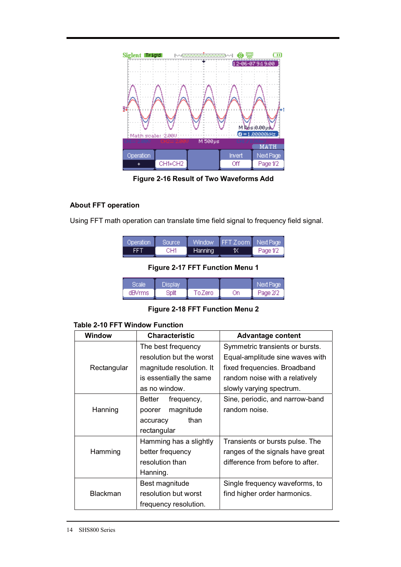

**Figure 2-16 Result of Two Waveforms Add** 

#### **About FFT operation**

Using FFT math operation can translate time field signal to frequency field signal.

| - Operation | Source |         | Window FFT Zoom Next Page |          |
|-------------|--------|---------|---------------------------|----------|
| FFT         | CH1    | Hanning | 18                        | Page 1/2 |

**Figure 2-17 FFT Function Menu 1** 

|        | <b>Display</b> |         |    | Next Page |
|--------|----------------|---------|----|-----------|
| dBVrms | Bplit          | To Zero | Эn | Page 2/2  |

**Figure 2-18 FFT Function Menu 2** 

#### **Table 2-10 FFT Window Function**

| <b>Window</b>   | <b>Characteristic</b>       | <b>Advantage content</b>         |
|-----------------|-----------------------------|----------------------------------|
|                 | The best frequency          | Symmetric transients or bursts.  |
|                 | resolution but the worst    | Equal-amplitude sine waves with  |
| Rectangular     | magnitude resolution. It    | fixed frequencies. Broadband     |
|                 | is essentially the same     | random noise with a relatively   |
|                 | as no window.               | slowly varying spectrum.         |
|                 | <b>Better</b><br>frequency, | Sine, periodic, and narrow-band  |
| Hanning         | magnitude<br>poorer         | random noise.                    |
|                 | than<br>accuracy            |                                  |
|                 | rectangular                 |                                  |
|                 | Hamming has a slightly      | Transients or bursts pulse. The  |
| Hamming         | better frequency            | ranges of the signals have great |
|                 | resolution than             | difference from before to after. |
|                 | Hanning.                    |                                  |
| Best magnitude  |                             | Single frequency waveforms, to   |
| <b>Blackman</b> | resolution but worst        | find higher order harmonics.     |
|                 | frequency resolution.       |                                  |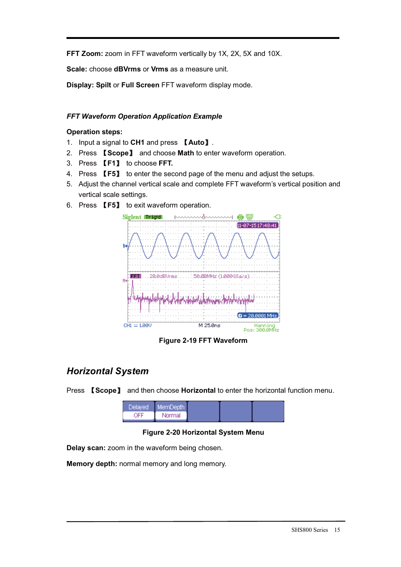**FFT Zoom:** zoom in FFT waveform vertically by 1X, 2X, 5X and 10X.

**Scale:** choose **dBVrms** or **Vrms** as a measure unit.

**Display: Spilt** or **Full Screen** FFT waveform display mode.

#### *FFT Waveform Operation Application Example*

#### **Operation steps:**

- 1. Input a signal to **CH1** and press Ǐ**Auto**ǐ.
- 2. Press Ǐ**Scope**ǐ and choose **Math** to enter waveform operation.
- 3. Press Ǐ**F1**ǐ to choose **FFT.**
- 4. Press Ǐ**F5**ǐ to enter the second page of the menu and adjust the setups.
- 5. Adjust the channel vertical scale and complete FFT waveform's vertical position and vertical scale settings.
- 6. Press **【F5】** to exit waveform operation.



**Figure 2-19 FFT Waveform** 

## *Horizontal System*

Press Ǐ**Scope**ǐ and then choose **Horizontal** to enter the horizontal function menu.

#### **Figure 2-20 Horizontal System Menu**

**Delay scan:** zoom in the waveform being chosen.

**Memory depth:** normal memory and long memory.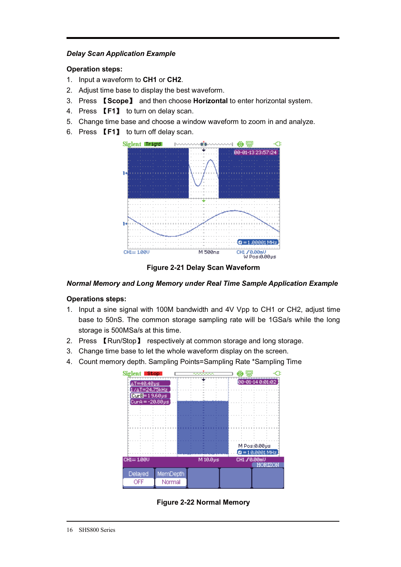#### *Delay Scan Application Example*

#### **Operation steps:**

- 1. Input a waveform to **CH1** or **CH2**.
- 2. Adjust time base to display the best waveform.
- 3. Press Ǐ**Scope**ǐ and then choose **Horizontal** to enter horizontal system.
- 4. Press **[F1]** to turn on delay scan.
- 5. Change time base and choose a window waveform to zoom in and analyze.
- 6. Press Ǐ**F1**ǐ to turn off delay scan.





#### *Normal Memory and Long Memory under Real Time Sample Application Example*

#### **Operations steps:**

- 1. Input a sine signal with 100M bandwidth and 4V Vpp to CH1 or CH2, adjust time base to 50nS. The common storage sampling rate will be 1GSa/s while the long storage is 500MSa/s at this time.
- 2. Press **[Run/Stop]** respectively at common storage and long storage.
- 3. Change time base to let the whole waveform display on the screen.
- 4. Count memory depth. Sampling Points=Sampling Rate \*Sampling Time



**Figure 2-22 Normal Memory**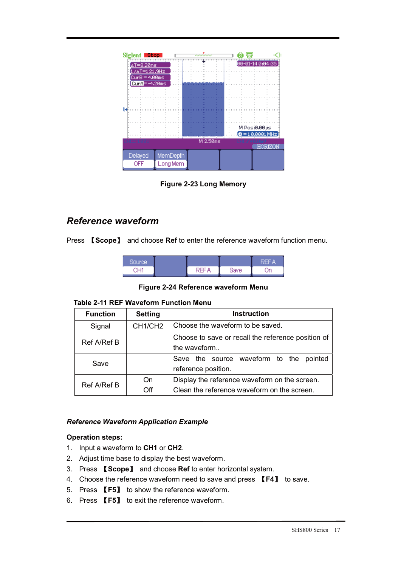

**Figure 2-23 Long Memory** 

## *Reference waveform*

Press **[Scope]** and choose **Ref** to enter the reference waveform function menu.

| Source' |          |       | REF<br>V. |
|---------|----------|-------|-----------|
| ∩⊔4     | ⊃⊏⊑<br>А | Bave: | )n        |

**Figure 2-24 Reference waveform Menu** 

#### **Table 2-11 REF Waveform Function Menu**

| <b>Function</b> | <b>Setting</b>      | <b>Instruction</b>                                 |  |
|-----------------|---------------------|----------------------------------------------------|--|
| Signal          | CH <sub>1/CH2</sub> | Choose the waveform to be saved.                   |  |
| Ref A/Ref B     |                     | Choose to save or recall the reference position of |  |
|                 |                     | the waveform                                       |  |
| Save            |                     | Save the source waveform to the pointed            |  |
|                 |                     | reference position.                                |  |
| Ref A/Ref B     | On                  | Display the reference waveform on the screen.      |  |
|                 | Off                 | Clean the reference waveform on the screen.        |  |

#### *Reference Waveform Application Example*

#### **Operation steps:**

- 1. Input a waveform to **CH1** or **CH2**.
- 2. Adjust time base to display the best waveform.
- 3. Press Ǐ**Scope**ǐ and choose **Ref** to enter horizontal system.
- 4. Choose the reference waveform need to save and press Ǐ**F4**ǐ to save.
- 5. Press Ǐ**F5**ǐ to show the reference waveform.
- 6. Press Ǐ**F5**ǐ to exit the reference waveform.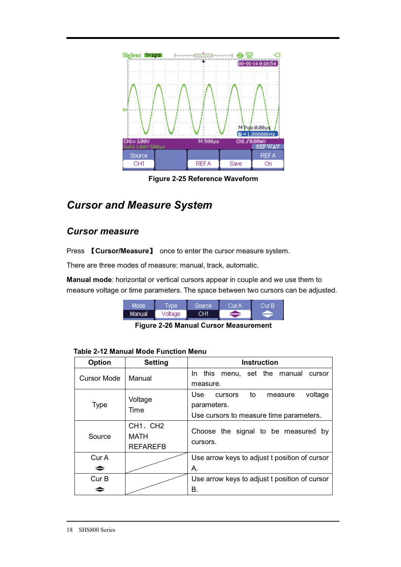

**Figure 2-25 Reference Waveform** 

## *Cursor and Measure System*

## *Cursor measure*

Press **【Cursor/Measure】** once to enter the cursor measure system.

There are three modes of measure: manual, track, automatic.

**Manual mode**: horizontal or vertical cursors appear in couple and we use them to measure voltage or time parameters. The space between two cursors can be adjusted.

| Mode    | <b>Vpe</b> | Source | Cur A | 'ur B |
|---------|------------|--------|-------|-------|
| Manual. | Voltage    | CH1    |       |       |

**Figure 2-26 Manual Cursor Measurement** 

| <b>Option</b>      | <b>Setting</b>                                               | <b>Instruction</b>                                                                                   |
|--------------------|--------------------------------------------------------------|------------------------------------------------------------------------------------------------------|
| <b>Cursor Mode</b> | Manual                                                       | In this menu, set the manual<br>cursor<br>measure.                                                   |
| <b>Type</b>        | Voltage<br>Time                                              | voltage<br>Use<br>to<br>cursors<br>measure<br>parameters.<br>Use cursors to measure time parameters. |
| Source             | CH <sub>1</sub> , CH <sub>2</sub><br>MATH<br><b>REFAREFB</b> | Choose the signal to be measured by<br>cursors.                                                      |
| Cur A              |                                                              | Use arrow keys to adjust t position of cursor                                                        |
| ⇒                  |                                                              | А.                                                                                                   |
| Cur B              |                                                              | Use arrow keys to adjust t position of cursor                                                        |
|                    |                                                              | В.                                                                                                   |

#### **Table 2-12 Manual Mode Function Menu**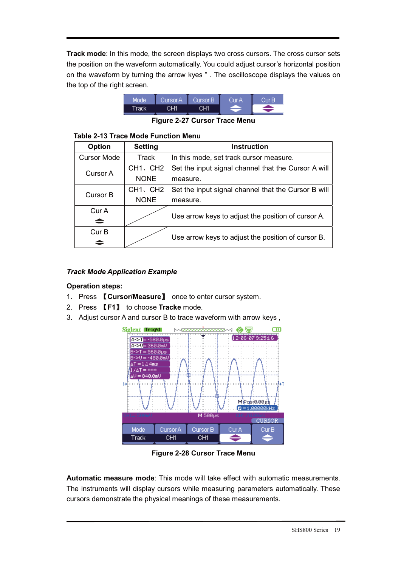**Track mode**: In this mode, the screen displays two cross cursors. The cross cursor sets the position on the waveform automatically. You could adjust cursor's horizontal position on the waveform by turning the arrow kyes " . The oscilloscope displays the values on the top of the right screen.



**Figure 2-27 Cursor Trace Menu** 

#### **Table 2-13 Trace Mode Function Menu**

| <b>Option</b>      | <b>Setting</b>                    | <b>Instruction</b>                                  |
|--------------------|-----------------------------------|-----------------------------------------------------|
| <b>Cursor Mode</b> | Track                             | In this mode, set track cursor measure.             |
| Cursor A           | CH1、CH2                           | Set the input signal channel that the Cursor A will |
|                    | <b>NONE</b>                       | measure.                                            |
| Cursor B           | CH <sub>1</sub> , CH <sub>2</sub> | Set the input signal channel that the Cursor B will |
|                    | <b>NONE</b>                       | measure.                                            |
| Cur A              |                                   |                                                     |
| $\Rightarrow$      |                                   | Use arrow keys to adjust the position of cursor A.  |
| Cur B              |                                   | Use arrow keys to adjust the position of cursor B.  |
| ∸                  |                                   |                                                     |

#### *Track Mode Application Example*

#### **Operation steps:**

- 1. Press **[Cursor/Measure]** once to enter cursor system.
- 2. Press Ǐ**F1**ǐ to choose **Tracke** mode.
- 3. Adjust cursor A and cursor B to trace waveform with arrow keys ,



**Figure 2-28 Cursor Trace Menu** 

**Automatic measure mode**: This mode will take effect with automatic measurements. The instruments will display cursors while measuring parameters automatically. These cursors demonstrate the physical meanings of these measurements.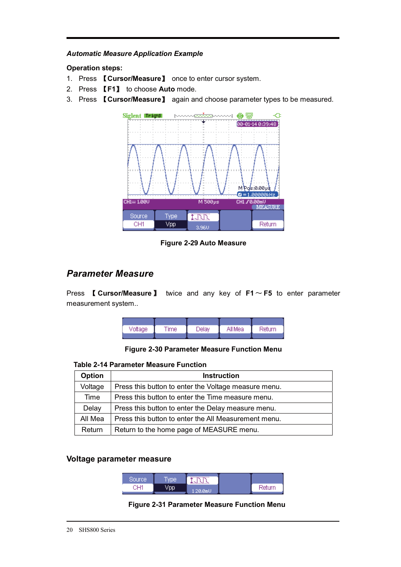#### *Automatic Measure Application Example*

#### **Operation steps:**

- 1. Press **[Cursor/Measure]** once to enter cursor system.
- 2. Press Ǐ**F1**ǐ to choose **Auto** mode.
- 3. Press Ǐ**Cursor/Measure**ǐ again and choose parameter types to be measured.



**Figure 2-29 Auto Measure** 

### *Parameter Measure*

Press  $\blacksquare$  **Cursor/Measure**  $\blacksquare$  twice and any key of  $F1 \sim F5$  to enter parameter measurement system..



**Figure 2-30 Parameter Measure Function Menu** 

#### **Table 2-14 Parameter Measure Function**

| Option  | <b>Instruction</b>                                   |
|---------|------------------------------------------------------|
| Voltage | Press this button to enter the Voltage measure menu. |
| Time    | Press this button to enter the Time measure menu.    |
| Delay   | Press this button to enter the Delay measure menu.   |
| All Mea | Press this button to enter the All Measurement menu. |
| Return  | Return to the home page of MEASURE menu.             |

#### **Voltage parameter measure**

| Source. | wpe | <b>SERVICE MARKETING PRINT</b><br>. |        |
|---------|-----|-------------------------------------|--------|
| ுபா     |     | 20.0mU                              | Return |

#### **Figure 2-31 Parameter Measure Function Menu**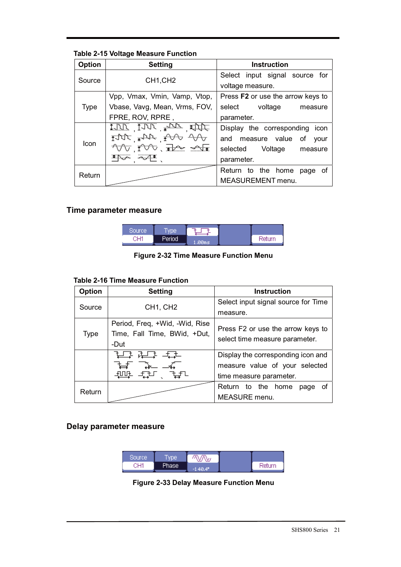#### **Table 2-15 Voltage Measure Function**

| <b>Option</b> | <b>Setting</b>                                            | <b>Instruction</b>                |
|---------------|-----------------------------------------------------------|-----------------------------------|
| Source        | CH <sub>1</sub> ,CH <sub>2</sub>                          | Select input signal source for    |
|               |                                                           | voltage measure.                  |
|               | Vpp, Vmax, Vmin, Vamp, Vtop,                              | Press F2 or use the arrow keys to |
| <b>Type</b>   | Vbase, Vavg, Mean, Vrms, FOV,                             | select voltage<br>measure         |
|               | FPRE, ROV, RPRE,                                          | parameter.                        |
|               | $\mathbb{C}(\mathbb{R}^n)$ and $\mathbb{C}(\mathbb{R}^n)$ | Display the corresponding<br>icon |
| Icon          |                                                           | and measure value<br>of<br>vour   |
|               | YV 1VV Reserva                                            | selected<br>Voltage<br>measure    |
|               | *PJ<br>ಸ್ವ∡                                               | parameter.                        |
| Return        |                                                           | Return to the home<br>οf<br>page  |
|               |                                                           | <b>MEASUREMENT</b> menu.          |

#### **Time parameter measure**

| Source, | wpe <sup>®</sup> |       |        |
|---------|------------------|-------|--------|
| ்பு     | Period           | .00ms | Return |

**Figure 2-32 Time Measure Function Menu** 

#### **Table 2-16 Time Measure Function**

| <b>Option</b> | <b>Setting</b>                                                         | <b>Instruction</b>                                                  |
|---------------|------------------------------------------------------------------------|---------------------------------------------------------------------|
| Source        | CH <sub>1</sub> , CH <sub>2</sub>                                      | Select input signal source for Time                                 |
|               |                                                                        | measure.                                                            |
| <b>Type</b>   | Period, Freq, +Wid, -Wid, Rise<br>Time, Fall Time, BWid, +Dut,<br>-Dut | Press F2 or use the arrow keys to<br>select time measure parameter. |
|               | 拉马 许宁                                                                  | Display the corresponding icon and                                  |
|               |                                                                        | measure value of your selected                                      |
|               |                                                                        | time measure parameter.                                             |
| Return        |                                                                        | Return to the home<br>οf<br>page                                    |
|               |                                                                        | <b>MEASURE</b> menu.                                                |

### **Delay parameter measure**

| Source | <b>VDe</b> | 'NW                   |        |
|--------|------------|-----------------------|--------|
| CH1    | Phase      | $-140.4$ <sup>p</sup> | Return |

**Figure 2-33 Delay Measure Function Menu**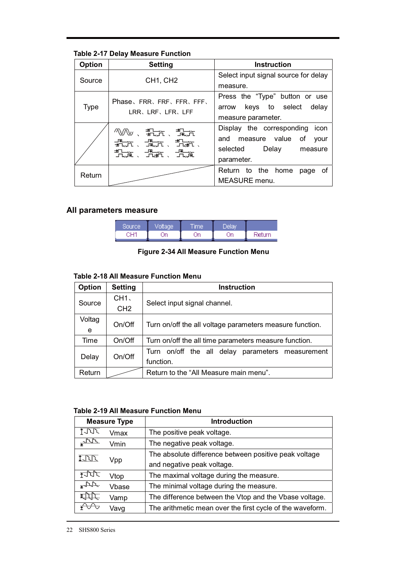#### **Table 2-17 Delay Measure Function**

| <b>Option</b> | <b>Setting</b>                         | <b>Instruction</b>                   |
|---------------|----------------------------------------|--------------------------------------|
| Source        | CH <sub>1</sub> , CH <sub>2</sub>      | Select input signal source for delay |
|               |                                        | measure.                             |
|               | Phase, FRR, FRF, FFR, FFF,             | Press the "Type" button or use       |
| <b>Type</b>   | LRR、LRF、LFR、LFF                        | arrow keys to select delay           |
|               |                                        | measure parameter.                   |
|               | 灬ѡ、洗洗、珠光                               | Display the corresponding icon       |
|               | <del>见</del> 云、鬼道、乱散、<br>,<br>九流、九流、九流 | and measure value of<br>vour         |
|               |                                        | selected Delay<br>measure            |
|               |                                        | parameter.                           |
| Return        |                                        | Return to the home<br>page of        |
|               |                                        | <b>MEASURE</b> menu.                 |

#### **All parameters measure**

| Sourcel | tage | <b>Time</b> | Delav <sup>1</sup> |        |
|---------|------|-------------|--------------------|--------|
| OU4.    | )n   | m           | Οn                 | Return |

### **Figure 2-34 All Measure Function Menu**

#### **Table 2-18 All Measure Function Menu**

| <b>Option</b> | <b>Setting</b>  | <b>Instruction</b>                                       |
|---------------|-----------------|----------------------------------------------------------|
| Source        | CH1.            |                                                          |
|               | CH <sub>2</sub> | Select input signal channel.                             |
| Voltag        | On/Off          |                                                          |
| e             |                 | Turn on/off the all voltage parameters measure function. |
| Time          | On/Off          | Turn on/off the all time parameters measure function.    |
|               | On/Off          | Turn on/off the all delay parameters measurement         |
| Delay         |                 | function.                                                |
| Return        |                 | Return to the "All Measure main menu".                   |

#### **Table 2-19 All Measure Function Menu**

| <b>Measure Type</b> |       | <b>Introduction</b>                                       |
|---------------------|-------|-----------------------------------------------------------|
| TUUT.               | Vmax  | The positive peak voltage.                                |
| ستملكنها            | Vmin  | The negative peak voltage.                                |
| <b>INN</b>          | Vpp   | The absolute difference between positive peak voltage     |
|                     |       | and negative peak voltage.                                |
| fJUT                | Vtop  | The maximal voltage during the measure.                   |
| $\sqrt{2\pi}$       | Vbase | The minimal voltage during the measure.                   |
| <b>x</b> hh         | Vamp  | The difference between the Vtop and the Vbase voltage.    |
| ¥™∿                 | Vavg  | The arithmetic mean over the first cycle of the waveform. |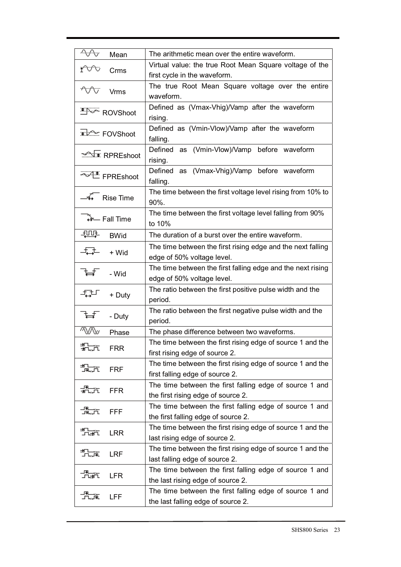| ∿∿<br>Mean                         | The arithmetic mean over the entire waveform.                                                  |  |  |
|------------------------------------|------------------------------------------------------------------------------------------------|--|--|
| Crms                               | Virtual value: the true Root Mean Square voltage of the                                        |  |  |
|                                    | first cycle in the waveform.                                                                   |  |  |
| <b>AAA</b><br><b>Vrms</b>          | The true Root Mean Square voltage over the entire<br>waveform.                                 |  |  |
| <b>EDGE</b> ROVShoot               | Defined as (Vmax-Vhig)/Vamp after the waveform<br>rising.                                      |  |  |
| FOVShoot                           | Defined as (Vmin-Vlow)/Vamp after the waveform<br>falling.                                     |  |  |
| <u>≫ि</u> RPREshoot                | Defined as (Vmin-Vlow)/Vamp before waveform<br>rising.                                         |  |  |
| FPREshoot                          | Defined as (Vmax-Vhig)/Vamp before waveform<br>falling.                                        |  |  |
| $\overline{\mathscr{A}}$ Rise Time | The time between the first voltage level rising from 10% to<br>90%.                            |  |  |
| <b>THE</b> Fall Time               | The time between the first voltage level falling from 90%<br>to 10%                            |  |  |
| 顿吨<br><b>BWid</b>                  | The duration of a burst over the entire waveform.                                              |  |  |
| ┹┷┷<br>+ Wid                       | The time between the first rising edge and the next falling<br>edge of 50% voltage level.      |  |  |
| ਖ<br>- Wid                         | The time between the first falling edge and the next rising<br>edge of 50% voltage level.      |  |  |
| —17 —े<br>+ Duty                   | The ratio between the first positive pulse width and the<br>period.                            |  |  |
| - Duty                             | The ratio between the first negative pulse width and the<br>period.                            |  |  |
| 秘<br>Phase                         | The phase difference between two waveforms.                                                    |  |  |
|                                    | The time between the first rising edge of source 1 and the                                     |  |  |
| 祝光<br><b>FRR</b>                   | first rising edge of source 2.                                                                 |  |  |
|                                    | The time between the first rising edge of source 1 and the                                     |  |  |
| 九戒<br><b>FRF</b>                   | first falling edge of source 2.                                                                |  |  |
| <b>FFR</b>                         | The time between the first falling edge of source 1 and<br>the first rising edge of source 2.  |  |  |
| 撮产<br>FFF                          | The time between the first falling edge of source 1 and<br>the first falling edge of source 2. |  |  |
|                                    | The time between the first rising edge of source 1 and the                                     |  |  |
| ے<br>تھا<br><b>LRR</b>             | last rising edge of source 2.                                                                  |  |  |
|                                    | The time between the first rising edge of source 1 and the                                     |  |  |
| 九滝<br><b>LRF</b>                   | last falling edge of source 2.                                                                 |  |  |
|                                    | The time between the first falling edge of source 1 and                                        |  |  |
| <b>LFR</b>                         | the last rising edge of source 2.                                                              |  |  |
| LFF                                | The time between the first falling edge of source 1 and<br>the last falling edge of source 2.  |  |  |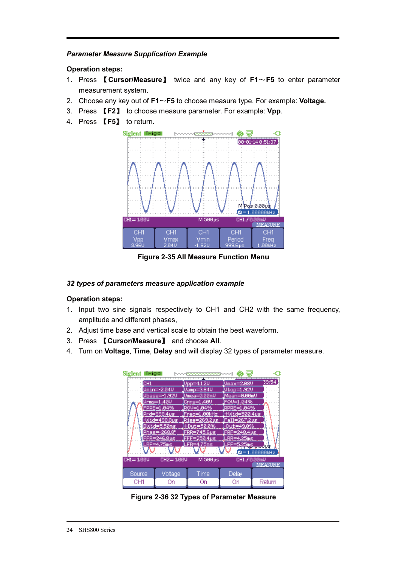#### *Parameter Measure Supplication Example*

#### **Operation steps:**

- 1. Press Ǐ**Cursor/Measure**ǐ twice and any key of **F1**̚**F5** to enter parameter measurement system.
- 2. Choose any key out of **F1**̚**F5** to choose measure type. For example: **Voltage.**
- 3. Press Ǐ**F2**ǐ to choose measure parameter. For example: **Vpp**.
- 4. Press **[F5]** to return.



**Figure 2-35 All Measure Function Menu** 

#### *32 types of parameters measure application example*

#### **Operation steps:**

- 1. Input two sine signals respectively to CH1 and CH2 with the same frequency, amplitude and different phases,
- 2. Adjust time base and vertical scale to obtain the best waveform.
- 3. Press Ǐ**Cursor/Measure**ǐ and choose **All**.
- 4. Turn on **Voltage**, **Time**, **Delay** and will display 32 types of parameter measure.



**Figure 2-36 32 Types of Parameter Measure**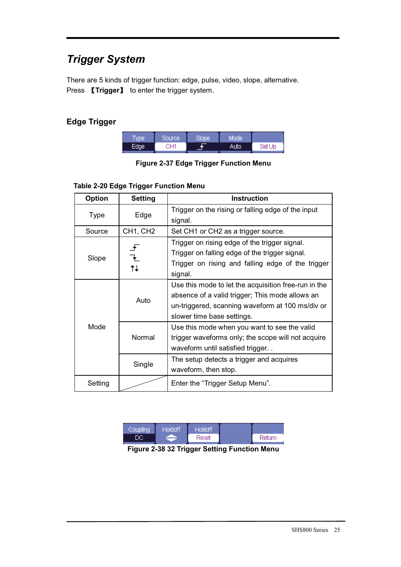# *Trigger System*

There are 5 kinds of trigger function: edge, pulse, video, slope, alternative. Press **【Trigger】** to enter the trigger system.

## **Edge Trigger**

| Type  | 'Source, | Slope' | Mode' |        |
|-------|----------|--------|-------|--------|
| Edael | CH1      |        | Auto  | Set Up |

**Figure 2-37 Edge Trigger Function Menu** 

#### **Table 2-20 Edge Trigger Function Menu**

| <b>Option</b> | <b>Setting</b>                    | <b>Instruction</b>                                                                                                                                                                        |
|---------------|-----------------------------------|-------------------------------------------------------------------------------------------------------------------------------------------------------------------------------------------|
| <b>Type</b>   | Edge                              | Trigger on the rising or falling edge of the input<br>signal.                                                                                                                             |
| Source        | CH <sub>1</sub> , CH <sub>2</sub> | Set CH1 or CH2 as a trigger source.                                                                                                                                                       |
| Slope         |                                   | Trigger on rising edge of the trigger signal.<br>Trigger on falling edge of the trigger signal.<br>Trigger on rising and falling edge of the trigger<br>signal.                           |
| Mode          | Auto                              | Use this mode to let the acquisition free-run in the<br>absence of a valid trigger; This mode allows an<br>un-triggered, scanning waveform at 100 ms/div or<br>slower time base settings. |
|               | Normal                            | Use this mode when you want to see the valid<br>trigger waveforms only; the scope will not acquire<br>waveform until satisfied trigger                                                    |
|               | Single                            | The setup detects a trigger and acquires<br>waveform, then stop.                                                                                                                          |
| Setting       |                                   | Enter the "Trigger Setup Menu".                                                                                                                                                           |

| Doupling | Holdoff | Holdoff |           |
|----------|---------|---------|-----------|
|          |         | Reset   | -Return - |

**Figure 2-38 32 Trigger Setting Function Menu**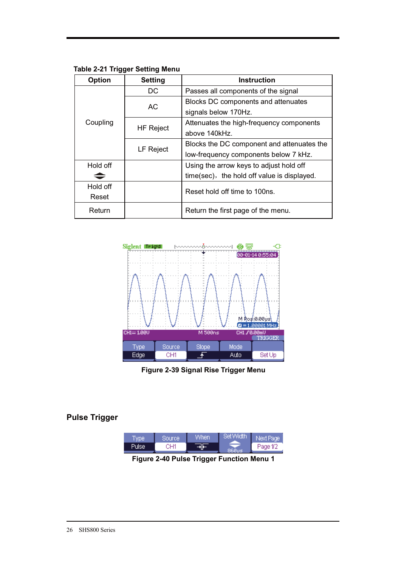**Table 2-21 Trigger Setting Menu** 

| Option   | <b>Instruction</b><br><b>Setting</b> |                                             |  |
|----------|--------------------------------------|---------------------------------------------|--|
|          | DC                                   | Passes all components of the signal         |  |
|          |                                      | Blocks DC components and attenuates         |  |
|          | AC                                   | signals below 170Hz.                        |  |
| Coupling | <b>HF Reject</b>                     | Attenuates the high-frequency components    |  |
|          |                                      | above 140kHz.                               |  |
|          | LF Reject                            | Blocks the DC component and attenuates the  |  |
|          |                                      | low-frequency components below 7 kHz.       |  |
| Hold off |                                      | Using the arrow keys to adjust hold off     |  |
|          |                                      | time(sec), the hold off value is displayed. |  |
| Hold off |                                      | Reset hold off time to 100ns.               |  |
| Reset    |                                      |                                             |  |
| Return   |                                      | Return the first page of the menu.          |  |



**Figure 2-39 Signal Rise Trigger Menu** 

### **Pulse Trigger**

| ype | Source | When' | Set Width | kt Paœi  |
|-----|--------|-------|-----------|----------|
|     | ٦Ш4    |       |           | Page 1/2 |

**Figure 2-40 Pulse Trigger Function Menu 1**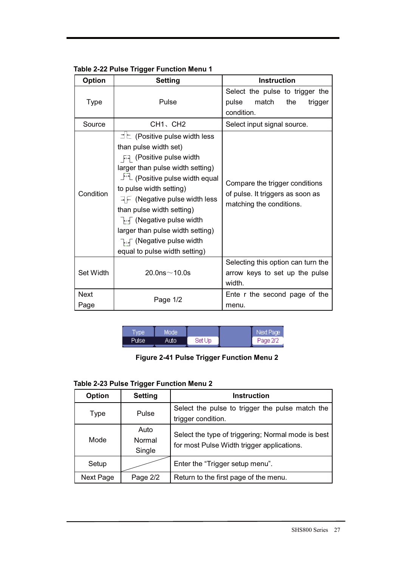| Table 2-22 Pulse Trigger Function Menu 1 |  |  |
|------------------------------------------|--|--|
|------------------------------------------|--|--|

| <b>Option</b>       | <b>Setting</b>                                                                                                                                                                                                                                                                                                                                                                                                                                                    | <b>Instruction</b>                                                                             |
|---------------------|-------------------------------------------------------------------------------------------------------------------------------------------------------------------------------------------------------------------------------------------------------------------------------------------------------------------------------------------------------------------------------------------------------------------------------------------------------------------|------------------------------------------------------------------------------------------------|
| <b>Type</b>         | Pulse                                                                                                                                                                                                                                                                                                                                                                                                                                                             | Select the pulse to trigger the<br>pulse<br>match<br>the<br>trigger<br>condition.              |
| Source              | CH <sub>1</sub> , CH <sub>2</sub>                                                                                                                                                                                                                                                                                                                                                                                                                                 | Select input signal source.                                                                    |
| Condition           | $\exists \, \mathsf{L}$ (Positive pulse width less<br>than pulse width set)<br><b>E</b> (Positive pulse width<br>larger than pulse width setting)<br>⊥ <sup>+</sup> (Positive pulse width equal<br>to pulse width setting)<br>$\exists \in$ (Negative pulse width less<br>than pulse width setting)<br>$\overline{\mathbb{R}}$ (Negative pulse width<br>larger than pulse width setting)<br>T <sub>F</sub> (Negative pulse width<br>equal to pulse width setting) | Compare the trigger conditions<br>of pulse. It triggers as soon as<br>matching the conditions. |
| Set Width           | 20.0ns $\sim$ 10.0s                                                                                                                                                                                                                                                                                                                                                                                                                                               | Selecting this option can turn the<br>arrow keys to set up the pulse<br>width.                 |
| <b>Next</b><br>Page | Page 1/2                                                                                                                                                                                                                                                                                                                                                                                                                                                          | Ente r the second page of the<br>menu.                                                         |

| vpe.         | Mode. |        | Next Page |
|--------------|-------|--------|-----------|
| <b>Pulse</b> | Autol | Set Up | Page 2/2  |

**Figure 2-41 Pulse Trigger Function Menu 2** 

## **Table 2-23 Pulse Trigger Function Menu 2**

| Option    | <b>Setting</b>           | <b>Instruction</b>                                                                               |
|-----------|--------------------------|--------------------------------------------------------------------------------------------------|
| Type      | Pulse                    | Select the pulse to trigger the pulse match the<br>trigger condition.                            |
| Mode      | Auto<br>Normal<br>Single | Select the type of triggering; Normal mode is best<br>for most Pulse Width trigger applications. |
| Setup     |                          | Enter the "Trigger setup menu".                                                                  |
| Next Page | Page 2/2                 | Return to the first page of the menu.                                                            |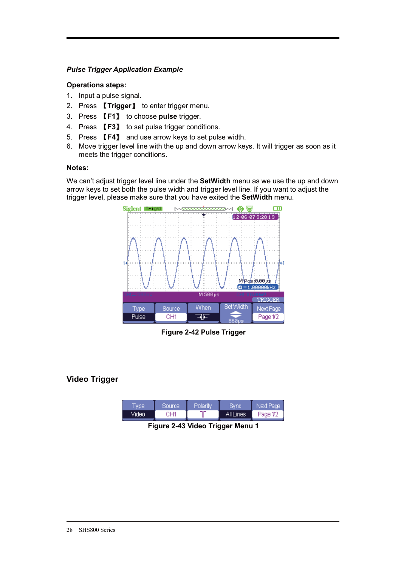### *Pulse Trigger Application Example*

### **Operations steps:**

- 1. Input a pulse signal.
- 2. Press **【Trigger】** to enter trigger menu.
- 3. Press Ǐ**F1**ǐ to choose **pulse** trigger.
- 4. Press **[F3]** to set pulse trigger conditions.
- 5. Press Ǐ**F4**ǐ and use arrow keys to set pulse width.
- 6. Move trigger level line with the up and down arrow keys. It will trigger as soon as it meets the trigger conditions.

#### **Notes:**

We can't adjust trigger level line under the **SetWidth** menu as we use the up and down arrow keys to set both the pulse width and trigger level line. If you want to adjust the trigger level, please make sure that you have exited the **SetWidth** menu.



**Figure 2-42 Pulse Trigger** 

### **Video Trigger**

| <b>Arrier</b> | Sourcel | Polarity | <b>JOVITO</b> | чехт насе |
|---------------|---------|----------|---------------|-----------|
| Video.        | ∿⊔4     |          | All Lines     | Page 1/2  |

**Figure 2-43 Video Trigger Menu 1**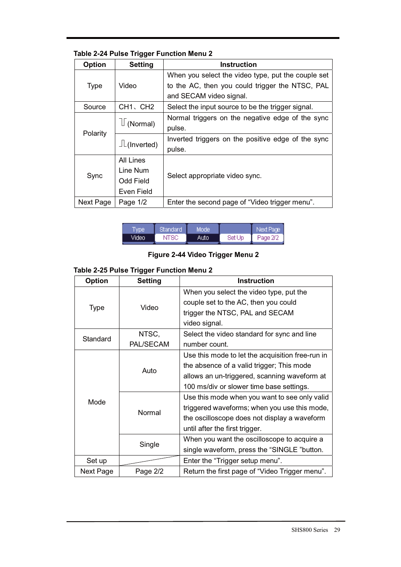| <b>Table 2-24 Pulse Trigger Function Menu 2</b> |  |  |  |
|-------------------------------------------------|--|--|--|
|-------------------------------------------------|--|--|--|

| <b>Option</b> | <b>Setting</b>     | <b>Instruction</b>                                 |
|---------------|--------------------|----------------------------------------------------|
|               |                    | When you select the video type, put the couple set |
| <b>Type</b>   | Video              | to the AC, then you could trigger the NTSC, PAL    |
|               |                    | and SECAM video signal.                            |
| Source        | CH1、CH2            | Select the input source to be the trigger signal.  |
|               |                    | Normal triggers on the negative edge of the sync   |
| Polarity      | (Normal)           | pulse.                                             |
|               | $\perp$ (Inverted) | Inverted triggers on the positive edge of the sync |
|               |                    | pulse.                                             |
|               | All Lines          |                                                    |
|               | Line Num           | Select appropriate video sync.                     |
| Sync          | <b>Odd Field</b>   |                                                    |
|               | Even Field         |                                                    |
| Next Page     | Page $1/2$         | Enter the second page of "Video trigger menu".     |

| (ype) | Standard | Mode' |        | Next Page |
|-------|----------|-------|--------|-----------|
| Video | NTSC     | Auto  | Set Up | Page 2/2  |

**Figure 2-44 Video Trigger Menu 2** 

### **Table 2-25 Pulse Trigger Function Menu 2**

| <b>Option</b> | <b>Setting</b> | <b>Instruction</b>                               |
|---------------|----------------|--------------------------------------------------|
|               |                | When you select the video type, put the          |
|               | Video          | couple set to the AC, then you could             |
| Type          |                | trigger the NTSC, PAL and SECAM                  |
|               |                | video signal.                                    |
| Standard      | NTSC,          | Select the video standard for sync and line      |
|               | PAL/SECAM      | number count.                                    |
|               |                | Use this mode to let the acquisition free-run in |
|               | Auto           | the absence of a valid trigger; This mode        |
|               |                | allows an un-triggered, scanning waveform at     |
|               |                | 100 ms/div or slower time base settings.         |
| Mode          | Normal         | Use this mode when you want to see only valid    |
|               |                | triggered waveforms; when you use this mode,     |
|               |                | the oscilloscope does not display a waveform     |
|               |                | until after the first trigger.                   |
|               | Single         | When you want the oscilloscope to acquire a      |
|               |                | single waveform, press the "SINGLE "button.      |
| Set up        |                | Enter the "Trigger setup menu".                  |
| Next Page     | Page 2/2       | Return the first page of "Video Trigger menu".   |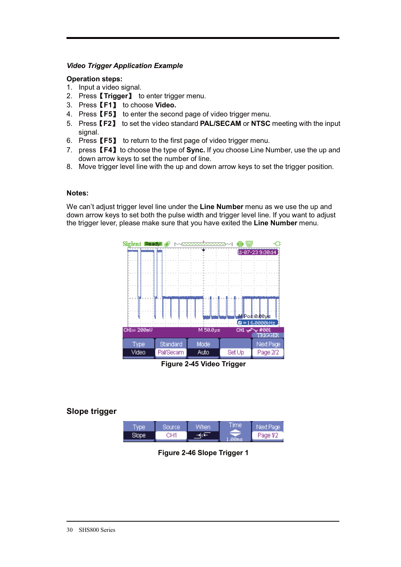### *Video Trigger Application Example*

#### **Operation steps:**

- 1. Input a video signal.
- 2. PressǏ**Trigger**ǐ to enter trigger menu.
- 3. PressǏ**F1**ǐ to choose **Video.**
- 4. PressǏ**F5**ǐ to enter the second page of video trigger menu.
- 5. PressǏ**F2**ǐ to set the video standard **PAL/SECAM** or **NTSC** meeting with the input signal.
- 6. PressǏ**F5**ǐ to return to the first page of video trigger menu.
- 7. press Ǐ**F4**ǐ to choose the type of **Sync.** If you choose Line Number, use the up and down arrow keys to set the number of line.
- 8. Move trigger level line with the up and down arrow keys to set the trigger position.

#### **Notes:**

We can't adjust trigger level line under the **Line Number** menu as we use the up and down arrow keys to set both the pulse width and trigger level line. If you want to adjust the trigger lever, please make sure that you have exited the **Line Number** menu.



**Figure 2-45 Video Trigger** 

### **Slope trigger**

| vpe.   | Source: | /Vhen | Time' | Next Page i |
|--------|---------|-------|-------|-------------|
| "nne - | ≀ו∟י    |       |       | Page 1/2    |

**Figure 2-46 Slope Trigger 1**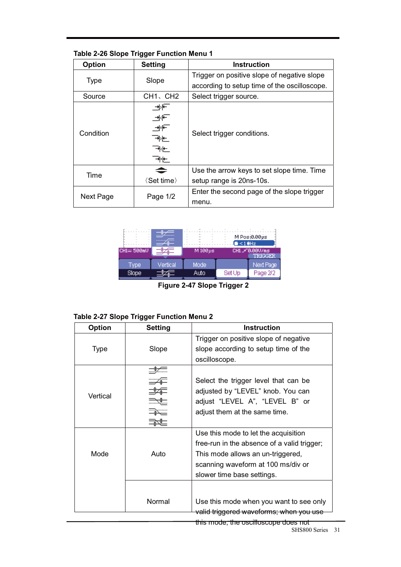| <b>Option</b> | <b>Setting</b>                    | <b>Instruction</b>                           |
|---------------|-----------------------------------|----------------------------------------------|
| <b>Type</b>   | Slope                             | Trigger on positive slope of negative slope  |
|               |                                   | according to setup time of the oscilloscope. |
| Source        | CH <sub>1</sub> , CH <sub>2</sub> | Select trigger source.                       |
| Condition     | → ∱+<br>⊣⊰⊕<br>শ⊁চ<br>শঁা±<br>ৰ⊭∟ | Select trigger conditions.                   |
| Time          |                                   | Use the arrow keys to set slope time. Time   |
|               | $\langle$ Set time $\rangle$      | setup range is 20ns-10s.                     |
| Next Page     | Page $1/2$                        | Enter the second page of the slope trigger   |
|               |                                   | menu.                                        |

### **Table 2-26 Slope Trigger Function Menu 1**



**Figure 2-47 Slope Trigger 2** 

|  | <b>Table 2-27 Slope Trigger Function Menu 2</b> |  |  |
|--|-------------------------------------------------|--|--|
|--|-------------------------------------------------|--|--|

| Option   | <b>Setting</b> | <b>Instruction</b>                          |
|----------|----------------|---------------------------------------------|
|          |                | Trigger on positive slope of negative       |
| Type     | Slope          | slope according to setup time of the        |
|          |                | oscilloscope.                               |
|          |                |                                             |
|          |                | Select the trigger level that can be        |
| Vertical |                | adjusted by "LEVEL" knob. You can           |
|          |                | adjust "LEVEL A", "LEVEL B" or              |
|          |                | adjust them at the same time.               |
|          |                |                                             |
|          |                | Use this mode to let the acquisition        |
|          |                | free-run in the absence of a valid trigger; |
| Mode     | Auto           | This mode allows an un-triggered,           |
|          |                | scanning waveform at 100 ms/div or          |
|          |                | slower time base settings.                  |
|          |                |                                             |
|          | Normal         | Use this mode when you want to see only     |
|          |                | valid triggered waveforms; when you use     |

this mode, the oscilloscope does not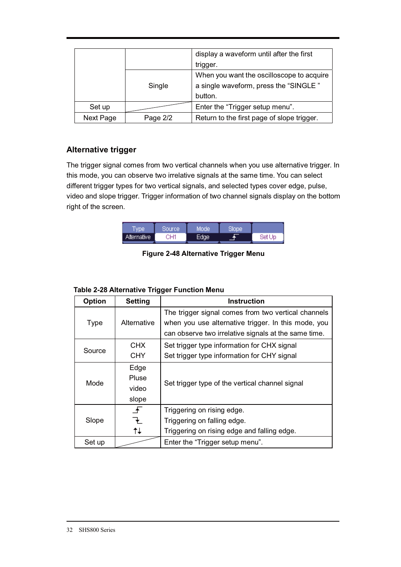|           |          | display a waveform until after the first<br>trigger.                                          |
|-----------|----------|-----------------------------------------------------------------------------------------------|
|           | Single   | When you want the oscilloscope to acquire<br>a single waveform, press the "SINGLE"<br>button. |
| Set up    |          | Enter the "Trigger setup menu".                                                               |
| Next Page | Page 2/2 | Return to the first page of slope trigger.                                                    |

### **Alternative trigger**

The trigger signal comes from two vertical channels when you use alternative trigger. In this mode, you can observe two irrelative signals at the same time. You can select different trigger types for two vertical signals, and selected types cover edge, pulse, video and slope trigger. Trigger information of two channel signals display on the bottom right of the screen.

| vne         | Source | Mode              | Slope |        |
|-------------|--------|-------------------|-------|--------|
| Alternative | CH1    | Edge <sup>®</sup> |       | Set Up |

**Figure 2-48 Alternative Trigger Menu** 

| <b>Table 2-28 Alternative Trigger Function Menu</b> |                     |       |  |
|-----------------------------------------------------|---------------------|-------|--|
| <b>Ontion</b>                                       | S <sub>offina</sub> | Inetr |  |

| <b>Option</b> | <b>Setting</b> | <b>Instruction</b>                                   |  |  |  |
|---------------|----------------|------------------------------------------------------|--|--|--|
|               |                | The trigger signal comes from two vertical channels  |  |  |  |
| Type          | Alternative    | when you use alternative trigger. In this mode, you  |  |  |  |
|               |                | can observe two irrelative signals at the same time. |  |  |  |
|               | <b>CHX</b>     | Set trigger type information for CHX signal          |  |  |  |
| Source        | <b>CHY</b>     | Set trigger type information for CHY signal          |  |  |  |
|               | Edge           |                                                      |  |  |  |
| Mode          | Pluse          | Set trigger type of the vertical channel signal      |  |  |  |
|               | video          |                                                      |  |  |  |
|               | slope          |                                                      |  |  |  |
|               | $\mathbf{f}$   | Triggering on rising edge.                           |  |  |  |
| Slope         | ł              | Triggering on falling edge.                          |  |  |  |
|               | tŧ             | Triggering on rising edge and falling edge.          |  |  |  |
| Set up        |                | Enter the "Trigger setup menu".                      |  |  |  |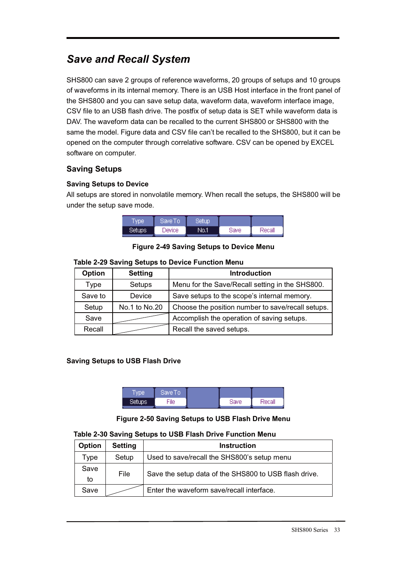# *Save and Recall System*

SHS800 can save 2 groups of reference waveforms, 20 groups of setups and 10 groups of waveforms in its internal memory. There is an USB Host interface in the front panel of the SHS800 and you can save setup data, waveform data, waveform interface image, CSV file to an USB flash drive. The postfix of setup data is SET while waveform data is DAV. The waveform data can be recalled to the current SHS800 or SHS800 with the same the model. Figure data and CSV file can't be recalled to the SHS800, but it can be opened on the computer through correlative software. CSV can be opened by EXCEL software on computer.

### **Saving Setups**

### **Saving Setups to Device**

All setups are stored in nonvolatile memory. When recall the setups, the SHS800 will be under the setup save mode.

| Type   | Save To | Setup |      |        |
|--------|---------|-------|------|--------|
| Setups | Device  | No.1  | Save | Recall |

### **Figure 2-49 Saving Setups to Device Menu**

### **Table 2-29 Saving Setups to Device Function Menu**

| <b>Option</b> | <b>Setting</b> | <b>Introduction</b>                               |  |
|---------------|----------------|---------------------------------------------------|--|
| Type          | Setups         | Menu for the Save/Recall setting in the SHS800.   |  |
| Save to       | Device         | Save setups to the scope's internal memory.       |  |
| Setup         | No.1 to No.20  | Choose the position number to save/recall setups. |  |
| Save          |                | Accomplish the operation of saving setups.        |  |
| Recall        |                | Recall the saved setups.                          |  |

### **Saving Setups to USB Flash Drive**

| wpe <sup>-</sup>    | Save To |      |        |
|---------------------|---------|------|--------|
| Setups <sup>1</sup> | īlе     | Save | Recall |

### **Figure 2-50 Saving Setups to USB Flash Drive Menu**

#### **Table 2-30 Saving Setups to USB Flash Drive Function Menu**

| Option     | <b>Setting</b> | <b>Instruction</b>                                    |
|------------|----------------|-------------------------------------------------------|
| Type       | Setup          | Used to save/recall the SHS800's setup menu           |
| Save<br>to | File           | Save the setup data of the SHS800 to USB flash drive. |
| Save       |                | Enter the waveform save/recall interface.             |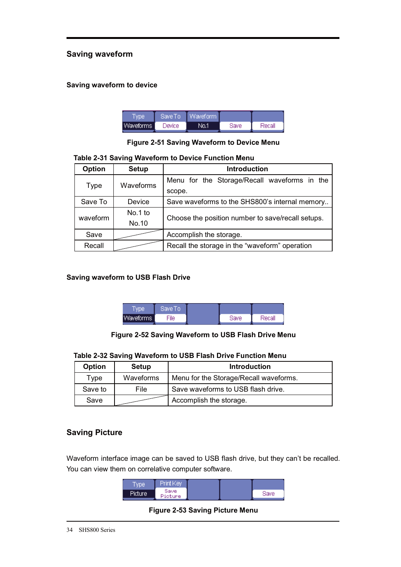### **Saving waveform**

### **Saving waveform to device**

|           | Save To | Waveform I |      |        |
|-----------|---------|------------|------|--------|
| Waveforms | Device  | No.1       | Save | Recall |

#### **Figure 2-51 Saving Waveform to Device Menu**

#### **Table 2-31 Saving Waveform to Device Function Menu**

| <b>Option</b> | <b>Setup</b> | <b>Introduction</b>                               |  |  |  |
|---------------|--------------|---------------------------------------------------|--|--|--|
|               | Waveforms    | Menu for the Storage/Recall waveforms in the      |  |  |  |
| <b>Type</b>   |              | scope.                                            |  |  |  |
| Save To       | Device       | Save waveforms to the SHS800's internal memory    |  |  |  |
| waveform      | No.1 to      | Choose the position number to save/recall setups. |  |  |  |
|               | No.10        |                                                   |  |  |  |
| Save          |              | Accomplish the storage.                           |  |  |  |
| Recall        |              | Recall the storage in the "waveform" operation    |  |  |  |

#### **Saving waveform to USB Flash Drive**

|                  | 'Save To |      |        |
|------------------|----------|------|--------|
| <b>Waveforms</b> | File     | Save | Recall |

### **Figure 2-52 Saving Waveform to USB Flash Drive Menu**

#### **Table 2-32 Saving Waveform to USB Flash Drive Function Menu**

| <b>Option</b> | Setup     | <b>Introduction</b>                    |  |
|---------------|-----------|----------------------------------------|--|
| Type          | Waveforms | Menu for the Storage/Recall waveforms. |  |
| Save to       | File      | Save waveforms to USB flash drive.     |  |
| Save          |           | Accomplish the storage.                |  |

### **Saving Picture**

Waveform interface image can be saved to USB flash drive, but they can't be recalled. You can view them on correlative computer software.

**Figure 2-53 Saving Picture Menu**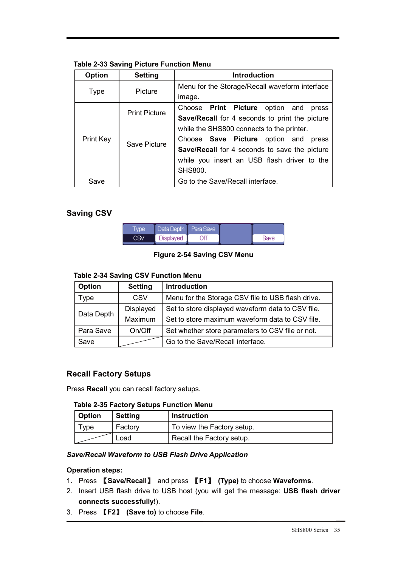### **Table 2-33 Saving Picture Function Menu**

| <b>Option</b> | <b>Setting</b>       | <b>Introduction</b>                                   |  |  |
|---------------|----------------------|-------------------------------------------------------|--|--|
|               |                      | Menu for the Storage/Recall waveform interface        |  |  |
| Type          | Picture              | image.                                                |  |  |
|               | <b>Print Picture</b> | Choose <b>Print Picture</b> option and<br>press       |  |  |
|               |                      | <b>Save/Recall</b> for 4 seconds to print the picture |  |  |
|               | Save Picture         | while the SHS800 connects to the printer.             |  |  |
| Print Key     |                      | Choose Save Picture option and<br>press               |  |  |
|               |                      | Save/Recall for 4 seconds to save the picture         |  |  |
|               |                      | while you insert an USB flash driver to the           |  |  |
|               |                      | <b>SHS800.</b>                                        |  |  |
| Save          |                      | Go to the Save/Recall interface.                      |  |  |

## **Saving CSV**

| Tvpe | Data Depth Para Save |    |      |
|------|----------------------|----|------|
|      | Displayed            | Υf | Save |

### **Figure 2-54 Saving CSV Menu**

### **Table 2-34 Saving CSV Function Menu**

| <b>Option</b> | <b>Setting</b> | <b>Introduction</b>                               |
|---------------|----------------|---------------------------------------------------|
| Type          | <b>CSV</b>     | Menu for the Storage CSV file to USB flash drive. |
| Data Depth    | Displayed      | Set to store displayed waveform data to CSV file. |
|               | Maximum        | Set to store maximum waveform data to CSV file.   |
| Para Save     | On/Off         | Set whether store parameters to CSV file or not.  |
| Save          |                | Go to the Save/Recall interface.                  |

### **Recall Factory Setups**

Press **Recall** you can recall factory setups.

### **Table 2-35 Factory Setups Function Menu**

| <b>Option</b> | <b>Setting</b> | <b>Instruction</b>         |
|---------------|----------------|----------------------------|
| vpe           | Factory        | To view the Factory setup. |
|               | Load           | Recall the Factory setup.  |

### *Save/Recall Waveform to USB Flash Drive Application*

### **Operation steps:**

- 1. Press Ǐ**Save/Recall**ǐ and press Ǐ**F1**ǐ **(Type)** to choose **Waveforms**.
- 2. Insert USB flash drive to USB host (you will get the message: **USB flash driver connects successfully**!).
- 3. Press Ǐ**F2**ǐ **(Save to)** to choose **File**.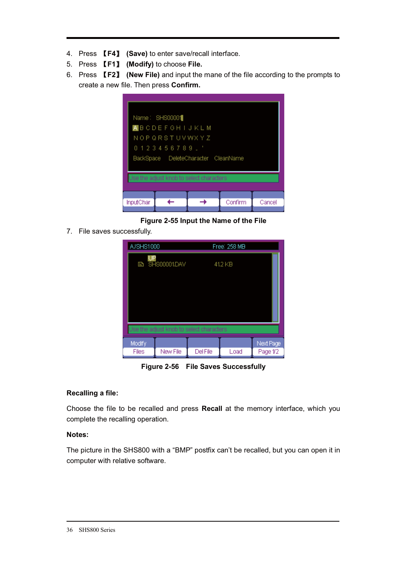- 4. Press Ǐ**F4**ǐ **(Save)** to enter save/recall interface.
- 5. Press Ǐ**F1**ǐ **(Modify)** to choose **File.**
- 6. Press Ǐ**F2**ǐ **(New File)** and input the mane of the file according to the prompts to create a new file. Then press **Confirm.**

|           | Name: SHS00001<br><b>A</b> BCDEFGHIJKLM<br>N O P Q R S T U V W X Y Z<br>0123456789.' | BackSpace DeleteCharacter CleanName<br>Use the adjust knob to select characters |         |        |
|-----------|--------------------------------------------------------------------------------------|---------------------------------------------------------------------------------|---------|--------|
| InputChar |                                                                                      |                                                                                 | Confirm | Cancel |

**Figure 2-55 Input the Name of the File** 

7. File saves successfully.

| A/SHS1000 |                       |                                          | Free: 258 MB |           |
|-----------|-----------------------|------------------------------------------|--------------|-----------|
|           | <b>B SHS00001.DAV</b> | Use the adjust knob to select characters | 41.2 KB      |           |
| Modify    |                       |                                          |              | Next Page |
| Files     | New File              | <b>Del File</b>                          | Load         | Page 1/2  |

**Figure 2-56 File Saves Successfully** 

### **Recalling a file:**

Choose the file to be recalled and press **Recall** at the memory interface, which you complete the recalling operation.

### **Notes:**

The picture in the SHS800 with a "BMP" postfix can't be recalled, but you can open it in computer with relative software.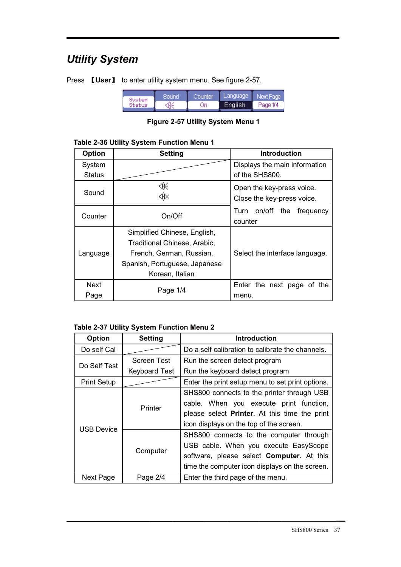# *Utility System*

Press **【User】** to enter utility system menu. See figure 2-57.

| Sustem | Sound | Counter | Language             | Next Page |
|--------|-------|---------|----------------------|-----------|
| Status | ⊛     | Jn      | English <sup>1</sup> | Page 1/4  |

**Figure 2-57 Utility System Menu 1** 

| Table 2-36 Utility System Function Menu 1 |  |
|-------------------------------------------|--|
|-------------------------------------------|--|

| <b>Option</b> | <b>Setting</b>                | <b>Introduction</b>                |
|---------------|-------------------------------|------------------------------------|
| System        |                               | Displays the main information      |
| <b>Status</b> |                               | of the SHS800.                     |
| Sound         | ⊛⊱                            | Open the key-press voice.          |
|               | ∢®                            | Close the key-press voice.         |
| Counter       | On/Off                        | on/off<br>Turn<br>the<br>frequency |
|               |                               | counter                            |
|               | Simplified Chinese, English,  |                                    |
|               | Traditional Chinese, Arabic,  |                                    |
| Language      | French, German, Russian,      | Select the interface language.     |
|               | Spanish, Portuguese, Japanese |                                    |
|               | Korean, Italian               |                                    |
| Next          | Page 1/4                      | Enter the next page of<br>the      |
| Page          |                               | menu.                              |

### **Table 2-37 Utility System Function Menu 2**

| <b>Option</b>      | <b>Setting</b>                                   | <b>Introduction</b>                               |  |
|--------------------|--------------------------------------------------|---------------------------------------------------|--|
| Do self Cal        | Do a self calibration to calibrate the channels. |                                                   |  |
|                    | Screen Test                                      | Run the screen detect program                     |  |
| Do Self Test       | <b>Keyboard Test</b>                             | Run the keyboard detect program                   |  |
| <b>Print Setup</b> |                                                  | Enter the print setup menu to set print options.  |  |
|                    |                                                  | SHS800 connects to the printer through USB        |  |
|                    | Printer                                          | cable. When you execute print function,           |  |
|                    |                                                  | please select Printer. At this time the print     |  |
| <b>USB Device</b>  |                                                  | icon displays on the top of the screen.           |  |
|                    |                                                  | SHS800 connects to the computer through           |  |
|                    |                                                  | USB cable. When you execute EasyScope             |  |
|                    | Computer                                         | software, please select <b>Computer</b> . At this |  |
|                    |                                                  | time the computer icon displays on the screen.    |  |
| Next Page          | Enter the third page of the menu.<br>Page 2/4    |                                                   |  |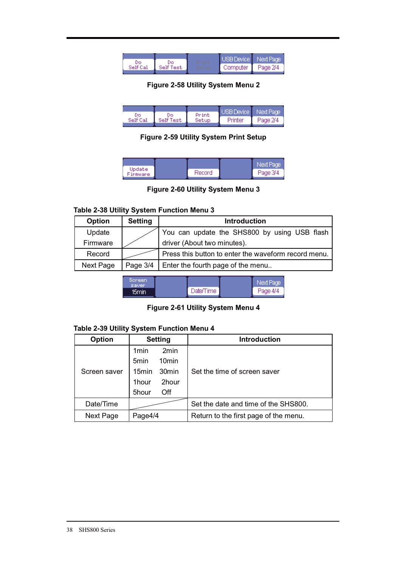|          |           | USB Device Next Page |          |
|----------|-----------|----------------------|----------|
| Self Cal | Self Test | Computer             | Page 2/4 |

**Figure 2-58 Utility System Menu 2** 

| Do       | Dо        | Print | USB Device Next Page |          |
|----------|-----------|-------|----------------------|----------|
| Self Cal | Self Test | Setup | Printer              | Page 2/4 |

**Figure 2-59 Utility System Print Setup** 

| Update<br>Firmware | Record | Wext Page<br>Page 3/4 |
|--------------------|--------|-----------------------|
|                    |        |                       |

### **Figure 2-60 Utility System Menu 3**

### **Table 2-38 Utility System Function Menu 3**

| <b>Option</b> | <b>Setting</b> | <b>Introduction</b>                                  |
|---------------|----------------|------------------------------------------------------|
| Update        |                | You can update the SHS800 by using USB flash         |
| Firmware      |                | driver (About two minutes).                          |
| Record        |                | Press this button to enter the waveform record menu. |
| Next Page     |                | Page 3/4   Enter the fourth page of the menu         |
|               |                |                                                      |

| Screen.<br>saver |           | Next Page |  |
|------------------|-----------|-----------|--|
| 15min i          | Date/Time | Page 4/4  |  |

### **Figure 2-61 Utility System Menu 4**

### **Table 2-39 Utility System Function Menu 4**

| <b>Option</b> |                  | <b>Setting</b>    | <b>Introduction</b>                   |
|---------------|------------------|-------------------|---------------------------------------|
|               | 1 <sub>min</sub> | 2min              |                                       |
|               | 5 <sub>min</sub> | 10 <sub>min</sub> |                                       |
| Screen saver  | 15min            | 30 <sub>min</sub> | Set the time of screen saver          |
|               | 1hour            | 2hour             |                                       |
|               | 5hour            | Off               |                                       |
| Date/Time     |                  |                   | Set the date and time of the SHS800.  |
| Next Page     | Page4/4          |                   | Return to the first page of the menu. |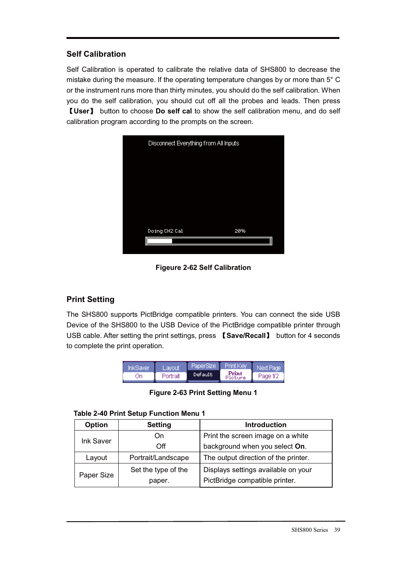### **Self Calibration**

Self Calibration is operated to calibrate the relative data of SHS800 to decrease the mistake during the measure. If the operating temperature changes by or more than 5° C or the instrument runs more than thirty minutes, you should do the self calibration. When you do the self calibration, you should cut off all the probes and leads. Then press Ǐ**User**ǐ button to choose **Do self cal** to show the self calibration menu, and do self calibration program according to the prompts on the screen.



**Figeure 2-62 Self Calibration** 

# **Print Setting**

The SHS800 supports PictBridge compatible printers. You can connect the side USB Device of the SHS800 to the USB Device of the PictBridge compatible printer through USB cable. After setting the print settings, press **[Save/Recall]** button for 4 seconds to complete the print operation.

| жжамет | Layout   |          |                  |          |
|--------|----------|----------|------------------|----------|
| . In   | Portrait | Default. | Print<br>Picture | Page 1/2 |

**Figure 2-63 Print Setting Menu 1** 

|  | Table 2-40 Print Setup Function Menu 1 |  |  |
|--|----------------------------------------|--|--|
|--|----------------------------------------|--|--|

| Option     | <b>Setting</b>      | <b>Introduction</b>                  |  |
|------------|---------------------|--------------------------------------|--|
|            | On                  | Print the screen image on a white    |  |
| Ink Saver  | Off                 | background when you select On.       |  |
| Layout     | Portrait/Landscape  | The output direction of the printer. |  |
| Paper Size | Set the type of the | Displays settings available on your  |  |
|            | paper.              | PictBridge compatible printer.       |  |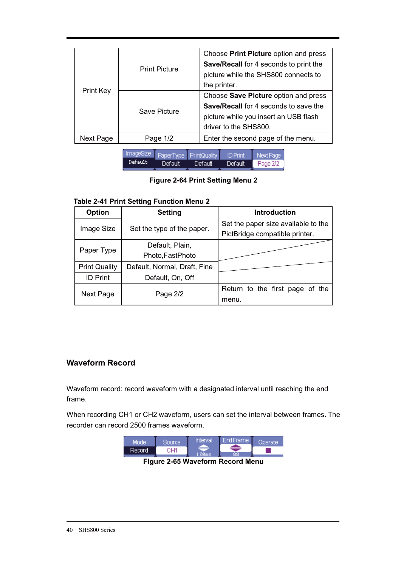| Print Key | <b>Print Picture</b><br>Save Picture | Choose Print Picture option and press<br>Save/Recall for 4 seconds to print the<br>picture while the SHS800 connects to<br>the printer.<br>Choose Save Picture option and press<br>Save/Recall for 4 seconds to save the<br>picture while you insert an USB flash<br>driver to the SHS800. |
|-----------|--------------------------------------|--------------------------------------------------------------------------------------------------------------------------------------------------------------------------------------------------------------------------------------------------------------------------------------------|
| Next Page | Page $1/2$                           | Enter the second page of the menu.                                                                                                                                                                                                                                                         |

ImageSize PaperType PrintQuality ID Print Next Page Default Default Default Default Page 2/2

### **Figure 2-64 Print Setting Menu 2**

#### **Table 2-41 Print Setting Function Menu 2**

| <b>Option</b>        | <b>Setting</b>               | <b>Introduction</b>                 |
|----------------------|------------------------------|-------------------------------------|
|                      |                              | Set the paper size available to the |
| Image Size           | Set the type of the paper.   | PictBridge compatible printer.      |
| Paper Type           | Default, Plain,              |                                     |
|                      | Photo, FastPhoto             |                                     |
| <b>Print Quality</b> | Default, Normal, Draft, Fine |                                     |
| <b>ID Print</b>      | Default, On, Off             |                                     |
| Next Page            |                              | Return to the first page of the     |
|                      | Page 2/2                     | menu.                               |

### **Waveform Record**

Waveform record: record waveform with a designated interval until reaching the end frame.

When recording CH1 or CH2 waveform, users can set the interval between frames. The recorder can record 2500 frames waveform.

| Minnie  | Sourcel | Interval | <b>End Frame</b> | <b>Nerale</b> |
|---------|---------|----------|------------------|---------------|
| Record. | ∿⊔и     |          | 88               |               |
|         |         |          |                  |               |

**Figure 2-65 Waveform Record Menu**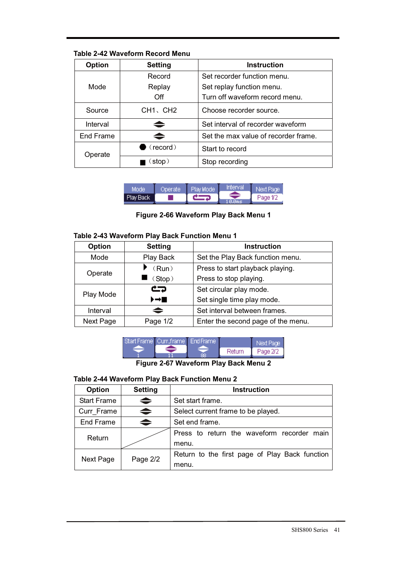### **Table 2-42 Waveform Record Menu**

| <b>Option</b> | <b>Setting</b>                    | <b>Instruction</b>                   |
|---------------|-----------------------------------|--------------------------------------|
|               | Record                            | Set recorder function menu.          |
| Mode          | Replay                            | Set replay function menu.            |
|               | Off                               | Turn off waveform record menu.       |
| Source        | CH <sub>1</sub> , CH <sub>2</sub> | Choose recorder source.              |
| Interval      | ≘                                 | Set interval of recorder waveform    |
| End Frame     | ≐                                 | Set the max value of recorder frame. |
| Operate       | (record)                          | Start to record                      |
|               | stop)                             | Stop recording                       |

|           | ⊫r | Play Mode | 10 II 11 11 | lext Pacie |
|-----------|----|-----------|-------------|------------|
| Play Back |    |           |             | ide 1/7    |

## **Figure 2-66 Waveform Play Back Menu 1**

### **Table 2-43 Waveform Play Back Function Menu 1**

| <b>Option</b> | <b>Setting</b> | <b>Instruction</b>                 |
|---------------|----------------|------------------------------------|
| Mode          | Play Back      | Set the Play Back function menu.   |
| Operate       | (Run)          | Press to start playback playing.   |
|               | (Stop)         | Press to stop playing.             |
| Play Mode     | جث             | Set circular play mode.            |
|               | ▸→■            | Set single time play mode.         |
| Interval      | ≐              | Set interval between frames.       |
| Next Page     | Page 1/2       | Enter the second page of the menu. |



**Figure 2-67 Waveform Play Back Menu 2** 

### **Table 2-44 Waveform Play Back Function Menu 2**

| <b>Option</b>      | <b>Setting</b>                          | <b>Instruction</b>                             |  |
|--------------------|-----------------------------------------|------------------------------------------------|--|
| <b>Start Frame</b> | ⇒                                       | Set start frame.                               |  |
| Curr Frame         | ⇔<br>Select current frame to be played. |                                                |  |
| End Frame          | ≐                                       | Set end frame.                                 |  |
| Return             |                                         | Press to return the waveform recorder main     |  |
|                    |                                         | menu.                                          |  |
| Next Page          | Page 2/2                                | Return to the first page of Play Back function |  |
|                    |                                         | menu.                                          |  |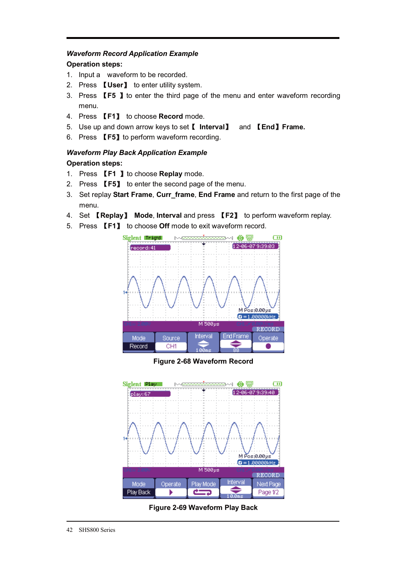### *Waveform Record Application Example*

### **Operation steps:**

- 1. Input a waveform to be recorded.
- 2. Press **【User】** to enter utility system.
- 3. Press **[F5 ]** to enter the third page of the menu and enter waveform recording menu.
- 4. Press Ǐ**F1**ǐ to choose **Record** mode.
- 5. Use up and down arrow keys to setǏ **Interval**ǐ and Ǐ**End**ǐ**Frame.**
- 6. Press **【F5】**to perform waveform recording.

# *Waveform Play Back Application Example*

### **Operation steps:**

- 1. Press Ǐ**F1** ǐto choose **Replay** mode.
- 2. Press **【F5】** to enter the second page of the menu.
- 3. Set replay **Start Frame**, **Curr\_frame**, **End Frame** and return to the first page of the menu.
- 4. Set Ǐ**Replay**ǐ **Mode**, **Interval** and press Ǐ**F2**ǐ to perform waveform replay.
- 5. Press Ǐ**F1**ǐ to choose **Off** mode to exit waveform record.



### **Figure 2-68 Waveform Record**



**Figure 2-69 Waveform Play Back**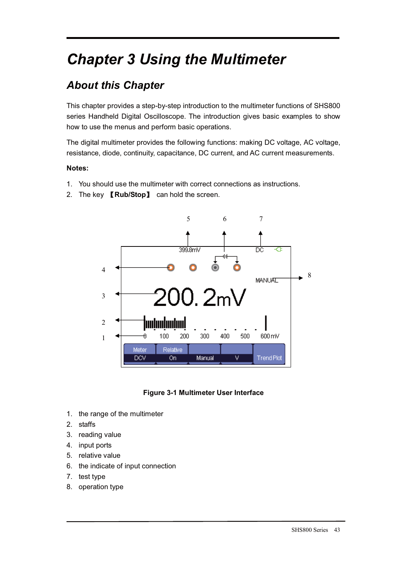# *Chapter 3 Using the Multimeter*

# *About this Chapter*

This chapter provides a step-by-step introduction to the multimeter functions of SHS800 series Handheld Digital Oscilloscope. The introduction gives basic examples to show how to use the menus and perform basic operations.

The digital multimeter provides the following functions: making DC voltage, AC voltage, resistance, diode, continuity, capacitance, DC current, and AC current measurements.

### **Notes:**

- 1. You should use the multimeter with correct connections as instructions.
- 2. The key **Kub/Stop** can hold the screen.





- 1. the range of the multimeter
- 2. staffs
- 3. reading value
- 4. input ports
- 5. relative value
- 6. the indicate of input connection
- 7. test type
- 8. operation type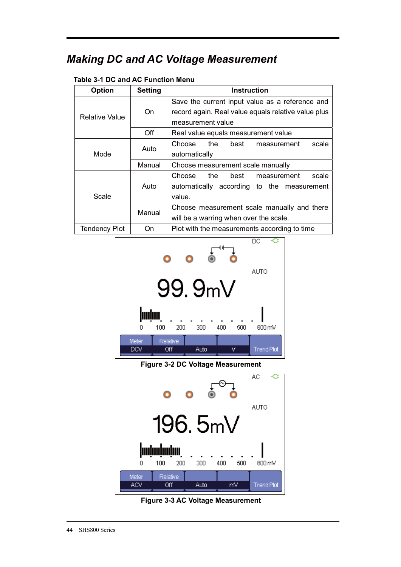# *Making DC and AC Voltage Measurement*

### **Table 3-1 DC and AC Function Menu**

| <b>Option</b>  | <b>Setting</b> | <b>Instruction</b>                                  |  |  |
|----------------|----------------|-----------------------------------------------------|--|--|
|                |                | Save the current input value as a reference and     |  |  |
| Relative Value | On             | record again. Real value equals relative value plus |  |  |
|                |                | measurement value                                   |  |  |
|                | Off            | Real value equals measurement value                 |  |  |
|                |                | Choose the<br>scale<br>best<br>measurement          |  |  |
| Mode           | Auto           | automatically                                       |  |  |
|                | Manual         | Choose measurement scale manually                   |  |  |
|                |                | the<br>Choose<br>best<br>scale<br>measurement       |  |  |
|                | Auto           | automatically according to the measurement          |  |  |
| Scale          |                | value.                                              |  |  |
|                | Manual         | Choose measurement scale manually and there         |  |  |
|                |                | will be a warring when over the scale.              |  |  |
| Tendency Plot  | On             | Plot with the measurements according to time        |  |  |



**Figure 3-2 DC Voltage Measurement** 



**Figure 3-3 AC Voltage Measurement**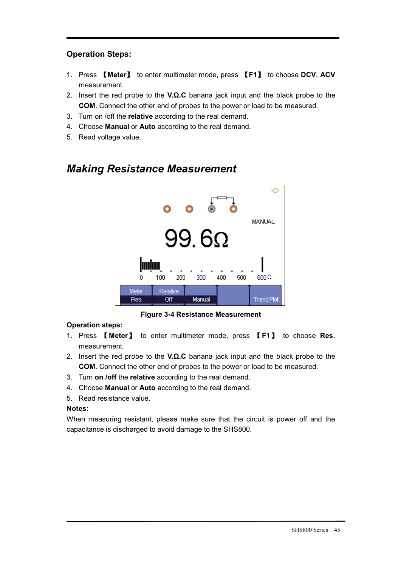## **Operation Steps:**

- 1. Press Ǐ**Meter**ǐ to enter multimeter mode, press Ǐ**F1**ǐ to choose **DCV**, **ACV**  measurement.
- 2. Insert the red probe to the **V.Ω.C** banana jack input and the black probe to the **COM**. Connect the other end of probes to the power or load to be measured.
- 3. Turn on /off the **relative** according to the real demand.
- 4. Choose **Manual** or **Auto** according to the real demand.
- 5. Read voltage value.



# *Making Resistance Measurement*

**Figure 3-4 Resistance Measurement** 

### **Operation steps:**

- 1. Press Ǐ**Meter**ǐ to enter multimeter mode, press Ǐ**F1**ǐ to choose **Res.**  measurement.
- 2. Insert the red probe to the **V.Ω.C** banana jack input and the black probe to the **COM**. Connect the other end of probes to the power or load to be measured.
- 3. Turn **on /off** the **relative** according to the real demand.
- 4. Choose **Manual** or **Auto** according to the real demand.
- 5. Read resistance value.

### **Notes:**

When measuring resistant, please make sure that the circuit is power off and the capacitance is discharged to avoid damage to the SHS800.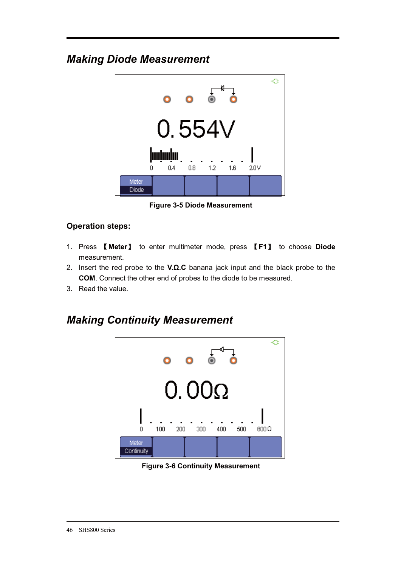# *Making Diode Measurement*



**Figure 3-5 Diode Measurement** 

# **Operation steps:**

- 1. Press Ǐ**Meter**ǐ to enter multimeter mode, press Ǐ**F1**ǐ to choose **Diode**  measurement.
- 2. Insert the red probe to the **V.Ω.C** banana jack input and the black probe to the **COM**. Connect the other end of probes to the diode to be measured.
- 3. Read the value.

# *Making Continuity Measurement*



**Figure 3-6 Continuity Measurement**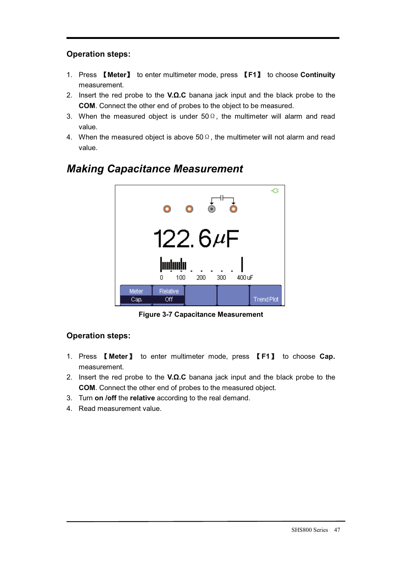# **Operation steps:**

- 1. Press Ǐ**Meter**ǐ to enter multimeter mode, press Ǐ**F1**ǐ to choose **Continuity**  measurement.
- 2. Insert the red probe to the **V.Ω.C** banana jack input and the black probe to the **COM**. Connect the other end of probes to the object to be measured.
- 3. When the measured object is under  $50\Omega$ , the multimeter will alarm and read value.
- 4. When the measured object is above  $50\Omega$ , the multimeter will not alarm and read value.



# *Making Capacitance Measurement*

**Figure 3-7 Capacitance Measurement** 

## **Operation steps:**

- 1. Press Ǐ**Meter**ǐ to enter multimeter mode, press Ǐ**F1**ǐ to choose **Cap.**  measurement.
- 2. Insert the red probe to the **V.Ω.C** banana jack input and the black probe to the **COM**. Connect the other end of probes to the measured object.
- 3. Turn **on /off** the **relative** according to the real demand.
- 4. Read measurement value.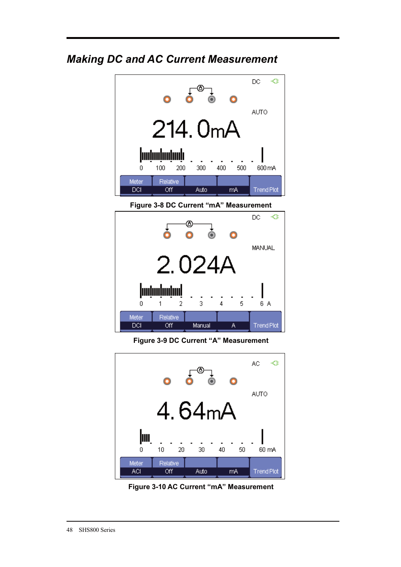# *Making DC and AC Current Measurement*





**Figure 3-9 DC Current "A" Measurement** 



**Figure 3-10 AC Current "mA" Measurement**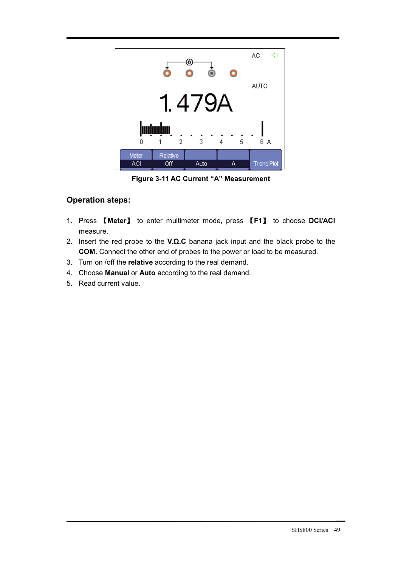|       |                      |        |        | AC.<br>-≎         |
|-------|----------------------|--------|--------|-------------------|
|       |                      |        |        | <b>AUTO</b>       |
|       |                      | 1.479A |        |                   |
|       |                      |        |        |                   |
| 0     | <b>huluuluu</b><br>2 | 3      | 5<br>4 | 6 A               |
| Meter | Relative             |        |        |                   |
| ACI   | Off                  | Auto   | А      | <b>Trend Plot</b> |

**Figure 3-11 AC Current "A" Measurement** 

# **Operation steps:**

- 1. Press Ǐ**Meter**ǐ to enter multimeter mode, press Ǐ**F1**ǐ to choose **DCI**/**ACI**  measure.
- 2. Insert the red probe to the **V.Ω.C** banana jack input and the black probe to the **COM**. Connect the other end of probes to the power or load to be measured.
- 3. Turn on /off the **relative** according to the real demand.
- 4. Choose **Manual** or **Auto** according to the real demand.
- 5. Read current value.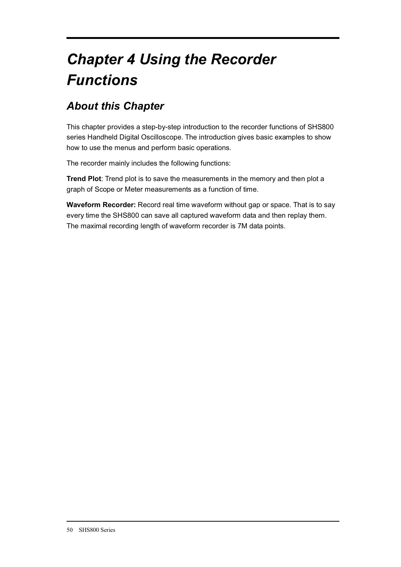# *Chapter 4 Using the Recorder Functions*

# *About this Chapter*

This chapter provides a step-by-step introduction to the recorder functions of SHS800 series Handheld Digital Oscilloscope. The introduction gives basic examples to show how to use the menus and perform basic operations.

The recorder mainly includes the following functions:

**Trend Plot**: Trend plot is to save the measurements in the memory and then plot a graph of Scope or Meter measurements as a function of time.

**Waveform Recorder:** Record real time waveform without gap or space. That is to say every time the SHS800 can save all captured waveform data and then replay them. The maximal recording length of waveform recorder is 7M data points.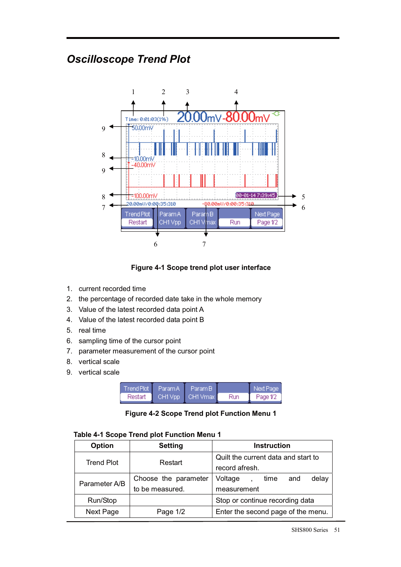# *Oscilloscope Trend Plot*



**Figure 4-1 Scope trend plot user interface** 

- 1. current recorded time
- 2. the percentage of recorded date take in the whole memory
- 3. Value of the latest recorded data point A
- 4. Value of the latest recorded data point B
- 5. real time
- 6. sampling time of the cursor point
- 7. parameter measurement of the cursor point
- 8. vertical scale
- 9. vertical scale

|         | : Trend Plot   Param A   1 | Param B I        |     | Next Page |
|---------|----------------------------|------------------|-----|-----------|
| Restart |                            | CH1 Vpp CH1 Vmax | Run | Page 1/2  |

| Table 4-1 Scope Trend plot Function Menu 1 |  |  |  |
|--------------------------------------------|--|--|--|
|--------------------------------------------|--|--|--|

| <b>Option</b>     | <b>Setting</b>       | <b>Instruction</b>                  |
|-------------------|----------------------|-------------------------------------|
| <b>Trend Plot</b> | Restart              | Quilt the current data and start to |
|                   |                      | record afresh.                      |
| Parameter A/B     | Choose the parameter | Voltage<br>delay<br>time<br>and     |
|                   | to be measured.      | measurement                         |
| Run/Stop          |                      | Stop or continue recording data     |
| Next Page         | Page 1/2             | Enter the second page of the menu.  |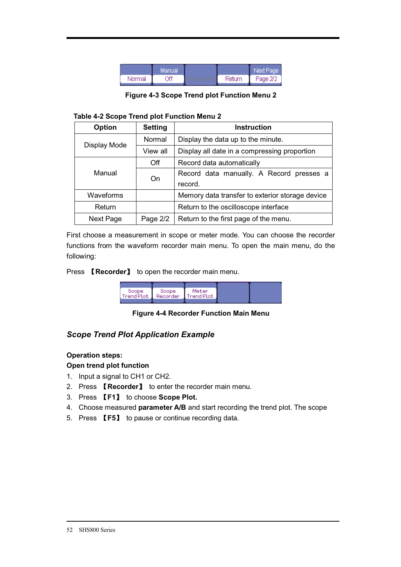|        | Manuall |        | Next Page |
|--------|---------|--------|-----------|
| Normal | Лf      | Return | Page 2/2  |

**Figure 4-3 Scope Trend plot Function Menu 2** 

|  | Table 4-2 Scope Trend plot Function Menu 2 |
|--|--------------------------------------------|
|  |                                            |

| Option       | <b>Setting</b>                       | <b>Instruction</b>                              |  |
|--------------|--------------------------------------|-------------------------------------------------|--|
| Display Mode | Normal                               | Display the data up to the minute.              |  |
|              | View all                             | Display all date in a compressing proportion    |  |
|              | Off                                  | Record data automatically                       |  |
| Manual       | On                                   | Record data manually. A Record presses a        |  |
|              |                                      | record.                                         |  |
| Waveforms    |                                      | Memory data transfer to exterior storage device |  |
| Return       | Return to the oscilloscope interface |                                                 |  |
| Next Page    | Page 2/2                             | Return to the first page of the menu.           |  |

First choose a measurement in scope or meter mode. You can choose the recorder functions from the waveform recorder main menu. To open the main menu, do the following:

Press **【Recorder】** to open the recorder main menu.

| Scope: | Scope: | Meter<br>Trend Plot Recorder Trend Plot |
|--------|--------|-----------------------------------------|
|        |        |                                         |

**Figure 4-4 Recorder Function Main Menu** 

### *Scope Trend Plot Application Example*

### **Operation steps:**

**Open trend plot function** 

- 1. Input a signal to CH1 or CH2.
- 2. Press **【Recorder】** to enter the recorder main menu.
- 3. Press Ǐ**F1**ǐ to choose **Scope Plot.**
- 4. Choose measured **parameter A/B** and start recording the trend plot. The scope
- 5. Press Ǐ**F5**ǐ to pause or continue recording data.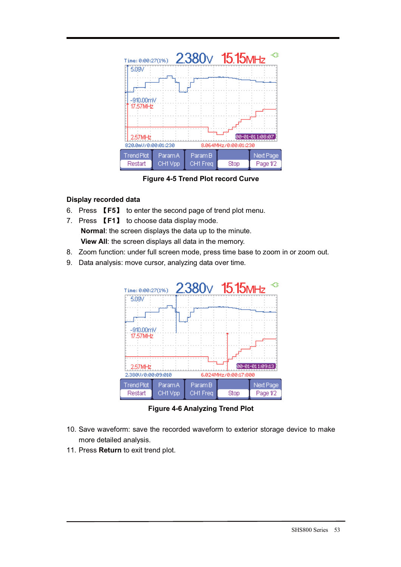

**Figure 4-5 Trend Plot record Curve** 

### **Display recorded data**

- 6. Press Ǐ**F5**ǐ to enter the second page of trend plot menu.
- 7. Press Ǐ**F1**ǐ to choose data display mode. **Normal**: the screen displays the data up to the minute. **View All**: the screen displays all data in the memory.
- 8. Zoom function: under full screen mode, press time base to zoom in or zoom out.
- 9. Data analysis: move cursor, analyzing data over time.



**Figure 4-6 Analyzing Trend Plot** 

- 10. Save waveform: save the recorded waveform to exterior storage device to make more detailed analysis.
- 11. Press **Return** to exit trend plot.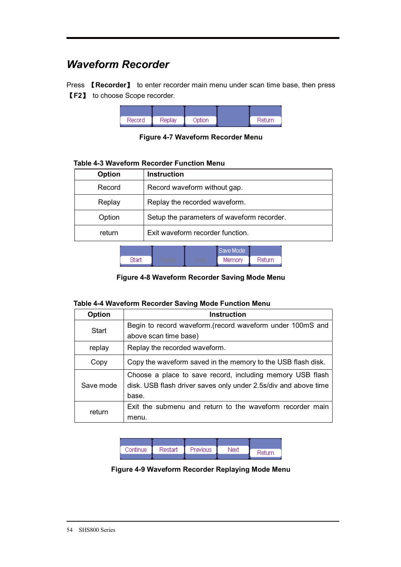# *Waveform Recorder*

Press **【Recorder】** to enter recorder main menu under scan time base, then press Ǐ**F2**ǐ to choose Scope recorder.

| Record | Replay | Option | Return |
|--------|--------|--------|--------|

**Figure 4-7 Waveform Recorder Menu** 

| Option | <b>Instruction</b>                         |
|--------|--------------------------------------------|
| Record | Record waveform without gap.               |
| Replay | Replay the recorded waveform.              |
| Option | Setup the parameters of waveform recorder. |
| return | Exit waveform recorder function.           |

### **Table 4-3 Waveform Recorder Function Menu**

|  | Rave Model |         |
|--|------------|---------|
|  | Memory     | Peturni |

**Figure 4-8 Waveform Recorder Saving Mode Menu** 

### **Table 4-4 Waveform Recorder Saving Mode Function Menu**

| Option    | <b>Instruction</b>                                              |
|-----------|-----------------------------------------------------------------|
| Start     | Begin to record waveform. (record waveform under 100mS and      |
|           | above scan time base)                                           |
| replay    | Replay the recorded waveform.                                   |
| Copy      | Copy the waveform saved in the memory to the USB flash disk.    |
|           | Choose a place to save record, including memory USB flash       |
| Save mode | disk. USB flash driver saves only under 2.5s/div and above time |
|           | base.                                                           |
| return    | Exit the submenu and return to the waveform recorder main       |
|           | menu.                                                           |

| Continue | Restart | Previous | Next | Return |
|----------|---------|----------|------|--------|
|          |         |          |      |        |

**Figure 4-9 Waveform Recorder Replaying Mode Menu**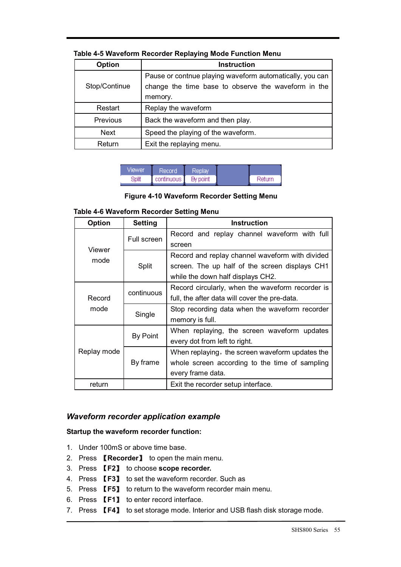| Option                                       | <b>Instruction</b>                                                                                                         |
|----------------------------------------------|----------------------------------------------------------------------------------------------------------------------------|
| Stop/Continue                                | Pause or contnue playing waveform automatically, you can<br>change the time base to observe the waveform in the<br>memory. |
| Restart                                      | Replay the waveform                                                                                                        |
| Previous<br>Back the waveform and then play. |                                                                                                                            |
| <b>Next</b>                                  | Speed the playing of the waveform.                                                                                         |
| Return                                       | Exit the replaying menu.                                                                                                   |

### **Table 4-5 Waveform Recorder Replaying Mode Function Menu**

| Viewer | Record     | Replay   |        |
|--------|------------|----------|--------|
| Split  | continuous | By point | Return |

**Figure 4-10 Waveform Recorder Setting Menu** 

### **Table 4-6 Waveform Recorder Setting Menu**

| <b>Option</b> | <b>Setting</b> | <b>Instruction</b>                               |
|---------------|----------------|--------------------------------------------------|
|               | Full screen    | Record and replay channel waveform with full     |
| Viewer        |                | screen                                           |
| mode          |                | Record and replay channel waveform with divided  |
|               | Split          | screen. The up half of the screen displays CH1   |
|               |                | while the down half displays CH2.                |
|               | continuous     | Record circularly, when the waveform recorder is |
| Record        |                | full, the after data will cover the pre-data.    |
| mode          | Single         | Stop recording data when the waveform recorder   |
|               |                | memory is full.                                  |
|               | By Point       | When replaying, the screen waveform updates      |
|               |                | every dot from left to right.                    |
| Replay mode   |                | When replaying, the screen waveform updates the  |
|               | By frame       | whole screen according to the time of sampling   |
|               |                | every frame data.                                |
| return        |                | Exit the recorder setup interface.               |

### *Waveform recorder application example*

#### **Startup the waveform recorder function:**

- 1. Under 100mS or above time base.
- 2. Press *Kecorder* to open the main menu.
- 3. Press Ǐ**F2**ǐ to choose **scope recorder.**
- 4. Press Ǐ**F3**ǐ to set the waveform recorder. Such as
- 5. Press Ǐ**F5**ǐ to return to the waveform recorder main menu.
- 6. Press **[F1]** to enter record interface.
- 7. Press **【F4】** to set storage mode. Interior and USB flash disk storage mode.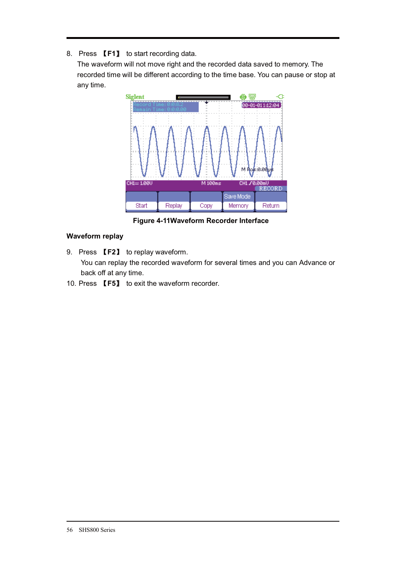### 8. Press **[F1]** to start recording data.

The waveform will not move right and the recorded data saved to memory. The recorded time will be different according to the time base. You can pause or stop at any time.



**Figure 4-11Waveform Recorder Interface** 

### **Waveform replay**

- 9. Press **[F2]** to replay waveform. You can replay the recorded waveform for several times and you can Advance or back off at any time.
- 10. Press **【F5】** to exit the waveform recorder.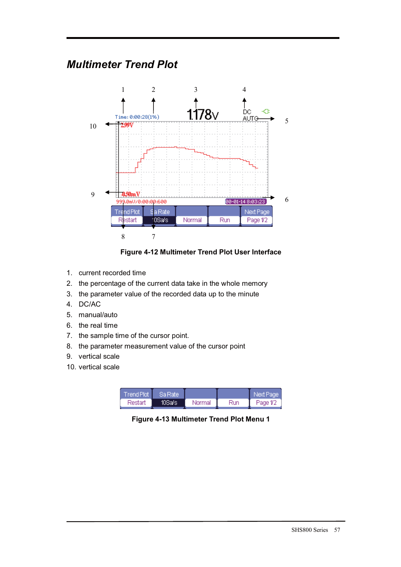# *Multimeter Trend Plot*



**Figure 4-12 Multimeter Trend Plot User Interface** 

- 1. current recorded time
- 2. the percentage of the current data take in the whole memory
- 3. the parameter value of the recorded data up to the minute
- 4. DC/AC
- 5. manual/auto
- 6. the real time
- 7. the sample time of the cursor point.
- 8. the parameter measurement value of the cursor point
- 9. vertical scale
- 10. vertical scale

| Trend Plot | <b>Sa Rate</b> |        |      | inext Pader |
|------------|----------------|--------|------|-------------|
| Restart    | 10Saís.        | Normal | Run. | Page 1/2    |

**Figure 4-13 Multimeter Trend Plot Menu 1**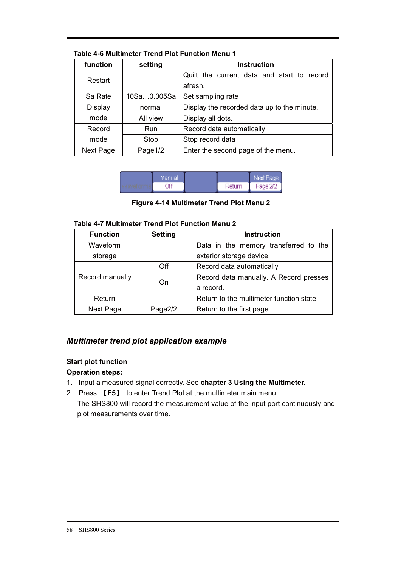| function       | setting     | <b>Instruction</b>                          |  |
|----------------|-------------|---------------------------------------------|--|
| Restart        |             | Quilt the current data and start to record  |  |
|                |             | afresh.                                     |  |
| Sa Rate        | 10Sa0.005Sa | Set sampling rate                           |  |
| <b>Display</b> | normal      | Display the recorded data up to the minute. |  |
| mode           | All view    | Display all dots.                           |  |
| Record         | Run         | Record data automatically                   |  |
| mode           | Stop        | Stop record data                            |  |
| Next Page      | Page1/2     | Enter the second page of the menu.          |  |

### **Table 4-6 Multimeter Trend Plot Function Menu 1**

| Manual |        | Next Page |
|--------|--------|-----------|
| ۵f٢    | Return | Page 2/2  |

**Figure 4-14 Multimeter Trend Plot Menu 2** 

#### **Table 4-7 Multimeter Trend Plot Function Menu 2**

| <b>Function</b> | <b>Setting</b> | <b>Instruction</b>                      |  |
|-----------------|----------------|-----------------------------------------|--|
| Waveform        |                | Data in the memory transferred to the   |  |
| storage         |                | exterior storage device.                |  |
|                 | Off            | Record data automatically               |  |
| Record manually | On             | Record data manually. A Record presses  |  |
|                 |                | a record.                               |  |
| Return          |                | Return to the multimeter function state |  |
| Next Page       | Page2/2        | Return to the first page.               |  |

### *Multimeter trend plot application example*

### **Start plot function**

### **Operation steps:**

- 1. Input a measured signal correctly. See **chapter 3 Using the Multimeter.**
- 2. Press Ǐ**F5**ǐ to enter Trend Plot at the multimeter main menu. The SHS800 will record the measurement value of the input port continuously and plot measurements over time.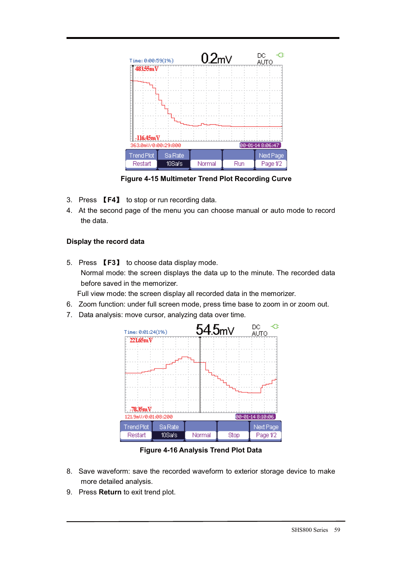

**Figure 4-15 Multimeter Trend Plot Recording Curve** 

- 3. Press **[F4]** to stop or run recording data.
- 4. At the second page of the menu you can choose manual or auto mode to record the data.

### **Display the record data**

- 5. Press **【F3】** to choose data display mode. Normal mode: the screen displays the data up to the minute. The recorded data before saved in the memorizer.
- Full view mode: the screen display all recorded data in the memorizer.
- 6. Zoom function: under full screen mode, press time base to zoom in or zoom out.
- 7. Data analysis: move cursor, analyzing data over time.



**Figure 4-16 Analysis Trend Plot Data** 

- 8. Save waveform: save the recorded waveform to exterior storage device to make more detailed analysis.
- 9. Press **Return** to exit trend plot.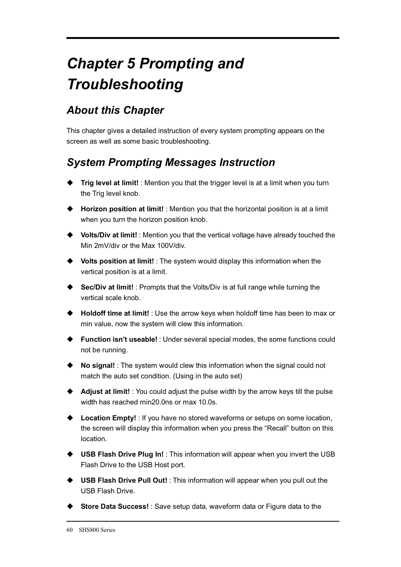# *Chapter 5 Prompting and Troubleshooting*

# *About this Chapter*

This chapter gives a detailed instruction of every system prompting appears on the screen as well as some basic troubleshooting.

# *System Prompting Messages Instruction*

- ◆ Trig level at limit! : Mention you that the trigger level is at a limit when you turn the Trig level knob.
- ◆ Horizon position at limit! : Mention you that the horizontal position is at a limit when you turn the horizon position knob.
- ◆ Volts/Div at limit! : Mention you that the vertical voltage have already touched the Min 2mV/div or the Max 100V/div.
- **Volts position at limit!** : The system would display this information when the vertical position is at a limit.
- ◆ Sec/Div at limit! : Prompts that the Volts/Div is at full range while turning the vertical scale knob.
- ◆ Holdoff time at limit! : Use the arrow keys when holdoff time has been to max or min value, now the system will clew this information.
- **Function isn't useable!** : Under several special modes, the some functions could not be running.
- ◆ No signal! : The system would clew this information when the signal could not match the auto set condition. (Using in the auto set)
- ◆ **Adjust at limit!** : You could adjust the pulse width by the arrow keys till the pulse width has reached min20.0ns or max 10.0s.
- ◆ Location Empty! : If you have no stored waveforms or setups on some location, the screen will display this information when you press the "Recall" button on this location.
- ◆ USB Flash Drive Plug In! : This information will appear when you invert the USB Flash Drive to the USB Host port.
- ◆ USB Flash Drive Pull Out! : This information will appear when you pull out the USB Flash Drive.
- ◆ Store Data Success! : Save setup data, waveform data or Figure data to the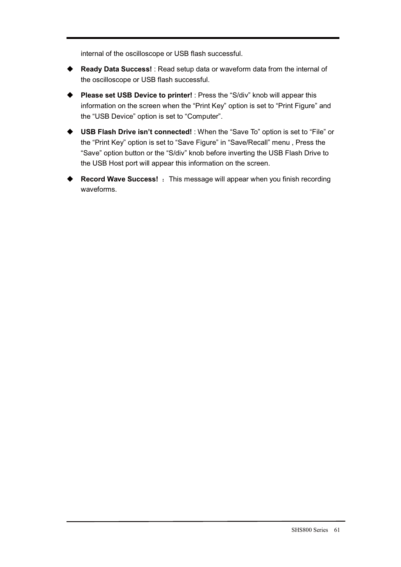internal of the oscilloscope or USB flash successful.

- $\blacklozenge$  **Ready Data Success!** : Read setup data or waveform data from the internal of the oscilloscope or USB flash successful.
- ◆ Please set USB Device to printer! : Press the "S/div" knob will appear this information on the screen when the "Print Key" option is set to "Print Figure" and the "USB Device" option is set to "Computer".
- $\blacklozenge$  **USB Flash Drive isn't connected!** : When the "Save To" option is set to "File" or the "Print Key" option is set to "Save Figure" in "Save/Recall" menu , Press the "Save" option button or the "S/div" knob before inverting the USB Flash Drive to the USB Host port will appear this information on the screen.
- $\blacklozenge$ **Record Wave Success!** : This message will appear when you finish recording waveforms.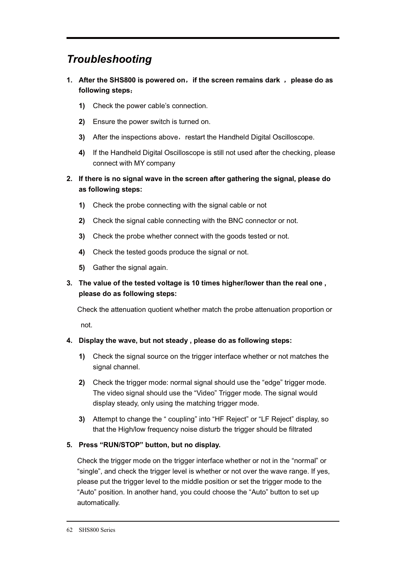# *Troubleshooting*

- **1.** After the SHS800 is powered on, if the screen remains dark, please do as **following steps**˖
	- **1)** Check the power cable's connection.
	- **2)** Ensure the power switch is turned on.
	- **3)** After the inspections above, restart the Handheld Digital Oscilloscope.
	- **4)** If the Handheld Digital Oscilloscope is still not used after the checking, please connect with MY company
- **2. If there is no signal wave in the screen after gathering the signal, please do as following steps:**
	- **1)** Check the probe connecting with the signal cable or not
	- **2)** Check the signal cable connecting with the BNC connector or not.
	- **3)** Check the probe whether connect with the goods tested or not.
	- **4)** Check the tested goods produce the signal or not.
	- **5)** Gather the signal again.

## **3. The value of the tested voltage is 10 times higher/lower than the real one , please do as following steps:**

Check the attenuation quotient whether match the probe attenuation proportion or not.

### **4. Display the wave, but not steady , please do as following steps:**

- **1)** Check the signal source on the trigger interface whether or not matches the signal channel.
- **2)** Check the trigger mode: normal signal should use the "edge" trigger mode. The video signal should use the "Video" Trigger mode. The signal would display steady, only using the matching trigger mode.
- **3)** Attempt to change the " coupling" into "HF Reject" or "LF Reject" display, so that the High/low frequency noise disturb the trigger should be filtrated

### **5. Press "RUN/STOP" button, but no display.**

Check the trigger mode on the trigger interface whether or not in the "normal" or "single", and check the trigger level is whether or not over the wave range. If yes, please put the trigger level to the middle position or set the trigger mode to the "Auto" position. In another hand, you could choose the "Auto" button to set up automatically.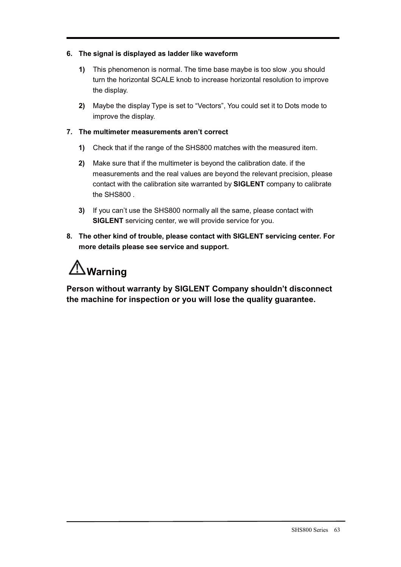### **6. The signal is displayed as ladder like waveform**

- **1)** This phenomenon is normal. The time base maybe is too slow .you should turn the horizontal SCALE knob to increase horizontal resolution to improve the display.
- **2)** Maybe the display Type is set to "Vectors", You could set it to Dots mode to improve the display.

### **7. The multimeter measurements aren't correct**

- **1)** Check that if the range of the SHS800 matches with the measured item.
- **2)** Make sure that if the multimeter is beyond the calibration date. if the measurements and the real values are beyond the relevant precision, please contact with the calibration site warranted by **SIGLENT** company to calibrate the SHS800 .
- **3)** If you can't use the SHS800 normally all the same, please contact with **SIGLENT** servicing center, we will provide service for you.
- **8. The other kind of trouble, please contact with SIGLENT servicing center. For more details please see service and support.**

# **Warning**

**Person without warranty by SIGLENT Company shouldn't disconnect the machine for inspection or you will lose the quality guarantee.**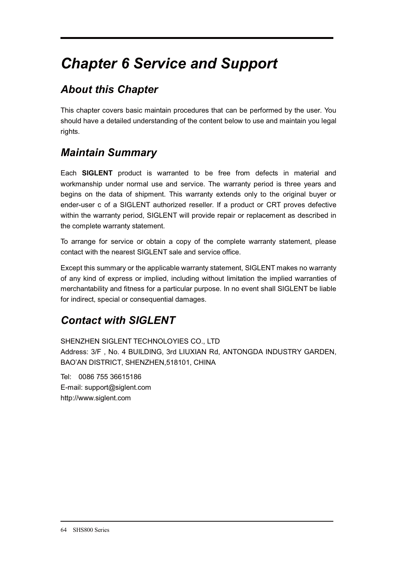# *Chapter 6 Service and Support*

### *About this Chapter*

This chapter covers basic maintain procedures that can be performed by the user. You should have a detailed understanding of the content below to use and maintain you legal rights.

### *Maintain Summary*

Each **SIGLENT** product is warranted to be free from defects in material and workmanship under normal use and service. The warranty period is three years and begins on the data of shipment. This warranty extends only to the original buyer or ender-user c of a SIGLENT authorized reseller. If a product or CRT proves defective within the warranty period, SIGLENT will provide repair or replacement as described in the complete warranty statement.

To arrange for service or obtain a copy of the complete warranty statement, please contact with the nearest SIGLENT sale and service office.

Except this summary or the applicable warranty statement, SIGLENT makes no warranty of any kind of express or implied, including without limitation the implied warranties of merchantability and fitness for a particular purpose. In no event shall SIGLENT be liable for indirect, special or consequential damages.

### *Contact with SIGLENT*

SHENZHEN SIGLENT TECHNOLOYIES CO., LTD Address: 3/F , No. 4 BUILDING, 3rd LIUXIAN Rd, ANTONGDA INDUSTRY GARDEN, BAO'AN DISTRICT, SHENZHEN,518101, CHINA

Tel: 0086 755 36615186 E-mail: support@siglent.com http://www.siglent.com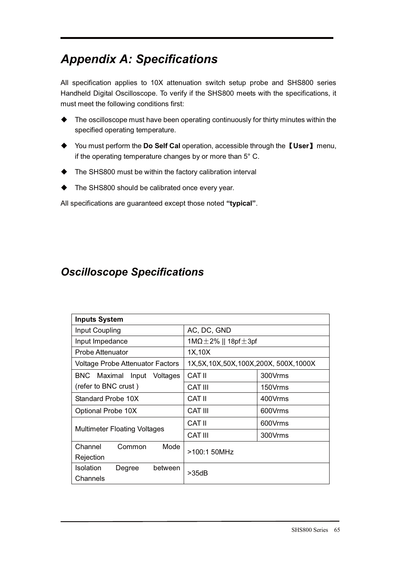# *Appendix A: Specifications*

All specification applies to 10X attenuation switch setup probe and SHS800 series Handheld Digital Oscilloscope. To verify if the SHS800 meets with the specifications, it must meet the following conditions first:

- $\bullet$  The oscilloscope must have been operating continuously for thirty minutes within the specified operating temperature.
- ◆ You must perform the Do Self Cal operation, accessible through the 【User】 menu, if the operating temperature changes by or more than 5° C.
- $\ddot{\bullet}$ The SHS800 must be within the factory calibration interval
- $\blacklozenge$ The SHS800 should be calibrated once every year.

All specifications are guaranteed except those noted **"typical"**.

#### *Oscilloscope Specifications*

| <b>Inputs System</b>                              |                                       |         |
|---------------------------------------------------|---------------------------------------|---------|
| Input Coupling                                    | AC, DC, GND                           |         |
| Input Impedance                                   | $1M\Omega \pm 2\%$    18pf $\pm 3$ pf |         |
| Probe Attenuator                                  | 1X,10X                                |         |
| <b>Voltage Probe Attenuator Factors</b>           | 1X,5X,10X,50X,100X,200X,500X,1000X    |         |
| BNC Maximal<br>Input<br>Voltages                  | CAT II                                | 300Vrms |
| (refer to BNC crust)                              | <b>CAT III</b>                        | 150Vrms |
| Standard Probe 10X                                | CAT II                                | 400Vrms |
| Optional Probe 10X                                | <b>CAT III</b>                        | 600Vrms |
|                                                   | CAT II                                | 600Vrms |
| <b>Multimeter Floating Voltages</b>               | <b>CAT III</b>                        | 300Vrms |
| Channel<br>Mode<br>Common<br>Rejection            | >100:1 50MHz                          |         |
| <b>Isolation</b><br>between<br>Degree<br>Channels | >35dB                                 |         |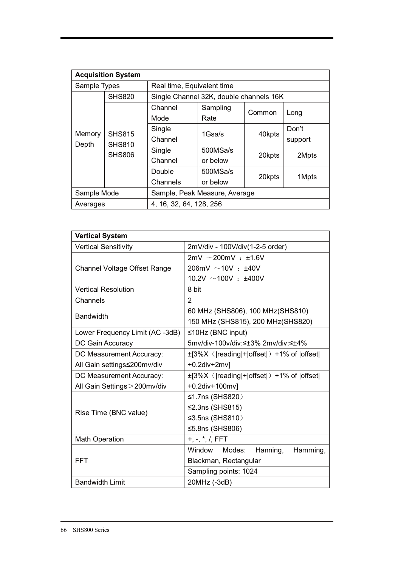|                 | <b>Acquisition System</b>      |                            |                                         |        |                  |
|-----------------|--------------------------------|----------------------------|-----------------------------------------|--------|------------------|
| Sample Types    |                                | Real time, Equivalent time |                                         |        |                  |
|                 | <b>SHS820</b>                  |                            | Single Channel 32K, double channels 16K |        |                  |
|                 |                                | Channel<br>Mode            | Sampling<br>Rate                        | Common | Long             |
| Memory<br>Depth | <b>SHS815</b><br><b>SHS810</b> | Single<br>Channel          | 1Gsa/s                                  | 40kpts | Don't<br>support |
|                 | <b>SHS806</b>                  | Single<br>Channel          | 500MSa/s<br>or below                    | 20kpts | 2Mpts            |
|                 |                                | Double<br>Channels         | 500MSa/s<br>or below                    | 20kpts | 1Mpts            |
| Sample Mode     |                                |                            | Sample, Peak Measure, Average           |        |                  |
| Averages        |                                | 4, 16, 32, 64, 128, 256    |                                         |        |                  |

| <b>Vertical System</b>              |                                                |
|-------------------------------------|------------------------------------------------|
| <b>Vertical Sensitivity</b>         | 2mV/div - 100V/div(1-2-5 order)                |
|                                     | $2mV \sim 200mV + 1.6V$                        |
| <b>Channel Voltage Offset Range</b> | 206mV $\sim$ 10V : $\pm$ 40V                   |
|                                     | 10.2V $\sim$ 100V : ±400V                      |
| <b>Vertical Resolution</b>          | 8 bit                                          |
| Channels                            | 2                                              |
| <b>Bandwidth</b>                    | 60 MHz (SHS806), 100 MHz (SHS810)              |
|                                     | 150 MHz (SHS815), 200 MHz(SHS820)              |
| Lower Frequency Limit (AC -3dB)     | $\leq$ 10Hz (BNC input)                        |
| DC Gain Accuracy                    | 5mv/div-100v/div:≤±3% 2mv/div:≤±4%             |
| DC Measurement Accuracy:            | ±[3%X ( reading + offset ) +1% of  offset      |
| All Gain settings≤200mv/div         | $+0.2$ div $+2$ mv]                            |
| DC Measurement Accuracy:            | $\pm$ [3%X ( reading + offset ) +1% of  offset |
| All Gain Settings > 200mv/div       | +0.2div+100mv]                                 |
|                                     | ≤1.7ns (SHS820)                                |
| Rise Time (BNC value)               | $\leq$ 2.3ns (SHS815)                          |
|                                     | ≤3.5ns (SHS810)                                |
|                                     | ≤5.8ns (SHS806)                                |
| <b>Math Operation</b>               | $+, -, *, /, FFT$                              |
|                                     | Window Modes:<br>Hanning,<br>Hamming,          |
| <b>FFT</b>                          | Blackman, Rectangular                          |
|                                     | Sampling points: 1024                          |
| <b>Bandwidth Limit</b>              | 20MHz (-3dB)                                   |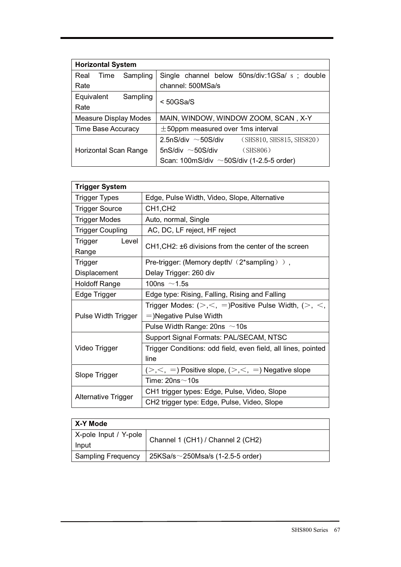| <b>Horizontal System</b>     |                                                      |
|------------------------------|------------------------------------------------------|
| Sampling<br>Real<br>Time     | Single channel below 50ns/div:1GSa/ s; double        |
| Rate                         | channel: 500MSa/s                                    |
| Equivalent<br>Sampling       | $<$ 50GSa/S                                          |
| Rate                         |                                                      |
| <b>Measure Display Modes</b> | MAIN, WINDOW, WINDOW ZOOM, SCAN, X-Y                 |
| <b>Time Base Accuracy</b>    | $\pm$ 50ppm measured over 1ms interval               |
|                              | (SHS810, SHS815, SHS820)<br>2.5nS/div $\sim$ 50S/div |
| <b>Horizontal Scan Range</b> | 5nS/div $\sim$ 50S/div<br>(SHS806)                   |
|                              | Scan: 100mS/div $\sim$ 50S/div (1-2.5-5 order)       |

| <b>Trigger System</b>     |                                                               |
|---------------------------|---------------------------------------------------------------|
| <b>Trigger Types</b>      | Edge, Pulse Width, Video, Slope, Alternative                  |
| <b>Trigger Source</b>     | CH <sub>1</sub> ,CH <sub>2</sub>                              |
| <b>Trigger Modes</b>      | Auto, normal, Single                                          |
| <b>Trigger Coupling</b>   | AC, DC, LF reject, HF reject                                  |
| Level<br>Trigger<br>Range | CH1, CH2: ±6 divisions from the center of the screen          |
| <b>Trigger</b>            | Pre-trigger: (Memory depth/ $(2^*$ sampling) ),               |
| Displacement              | Delay Trigger: 260 div                                        |
| <b>Holdoff Range</b>      | 100ns $\sim$ 1.5s                                             |
| Edge Trigger              | Edge type: Rising, Falling, Rising and Falling                |
|                           | Trigger Modes: $(>,<,=)$ Positive Pulse Width, $(>,<,$        |
| Pulse Width Trigger       | $=$ )Negative Pulse Width                                     |
|                           | Pulse Width Range: $20$ ns $\sim$ 10s                         |
|                           | Support Signal Formats: PAL/SECAM, NTSC                       |
| Video Trigger             | Trigger Conditions: odd field, even field, all lines, pointed |
|                           | line                                                          |
| Slope Trigger             | $(>,<, =)$ Positive slope, $(>,<, =)$ Negative slope          |
|                           | Time: 20ns $\sim$ 10s                                         |
| Alternative Trigger       | CH1 trigger types: Edge, Pulse, Video, Slope                  |
|                           | CH2 trigger type: Edge, Pulse, Video, Slope                   |

| X-Y Mode                       |                                         |
|--------------------------------|-----------------------------------------|
| X-pole Input / Y-pole<br>Input | Channel 1 (CH1) / Channel 2 (CH2)       |
| <b>Sampling Frequency</b>      | $25KSa/s \sim 250Msa/s$ (1-2.5-5 order) |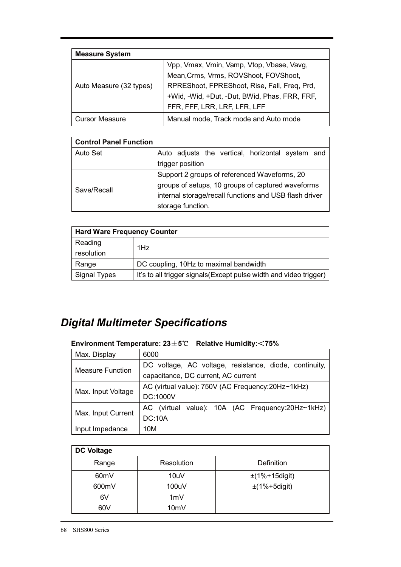| <b>Measure System</b>   |                                               |
|-------------------------|-----------------------------------------------|
|                         | Vpp, Vmax, Vmin, Vamp, Vtop, Vbase, Vavg,     |
|                         | Mean, Crms, Vrms, ROVShoot, FOVShoot,         |
| Auto Measure (32 types) | RPREShoot, FPREShoot, Rise, Fall, Freq, Prd,  |
|                         | +Wid, -Wid, +Dut, -Dut, BWid, Phas, FRR, FRF, |
|                         | FFR, FFF, LRR, LRF, LFR, LFF                  |
| <b>Cursor Measure</b>   | Manual mode, Track mode and Auto mode         |

| <b>Control Panel Function</b> |                                                        |
|-------------------------------|--------------------------------------------------------|
| Auto Set                      | Auto adjusts the vertical, horizontal system and       |
|                               | trigger position                                       |
|                               | Support 2 groups of referenced Waveforms, 20           |
| Save/Recall                   | groups of setups, 10 groups of captured waveforms      |
|                               | internal storage/recall functions and USB flash driver |
|                               | storage function.                                      |

| <b>Hard Ware Frequency Counter</b> |                                                                    |
|------------------------------------|--------------------------------------------------------------------|
| Reading                            | 1Hz                                                                |
| resolution                         |                                                                    |
| Range                              | DC coupling, 10Hz to maximal bandwidth                             |
| Signal Types                       | It's to all trigger signals (Except pulse width and video trigger) |

# *Digital Multimeter Specifications*

#### **Environment Temperature: 23**f**5**ć **Relative Humidity:**˘**75%**

| Max. Display            | 6000                                                   |
|-------------------------|--------------------------------------------------------|
| <b>Measure Function</b> | DC voltage, AC voltage, resistance, diode, continuity, |
|                         | capacitance, DC current, AC current                    |
| Max. Input Voltage      | AC (virtual value): 750V (AC Frequency: 20Hz~1kHz)     |
|                         | <b>DC:1000V</b>                                        |
|                         | AC (virtual value): 10A (AC Frequency:20Hz~1kHz)       |
| Max. Input Current      | <b>DC:10A</b>                                          |
| Input Impedance         | 10M                                                    |

| <b>DC Voltage</b> |            |                   |
|-------------------|------------|-------------------|
| Range             | Resolution | Definition        |
| 60 <sub>m</sub> V | 10uV       | $±(1%+15$ digit)  |
| 600mV             | 100uV      | $\pm$ (1%+5digit) |
| 6V                | 1mV        |                   |
| 60V               | 10mV       |                   |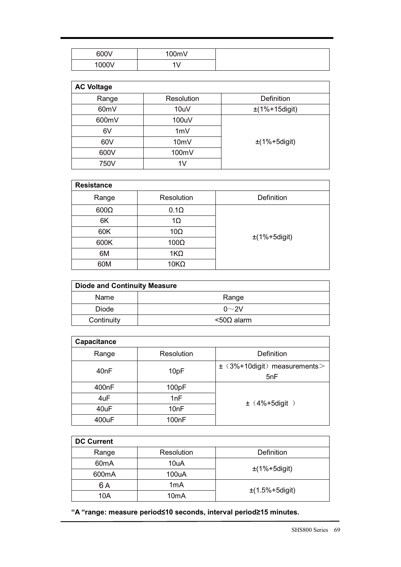| 600V  | 100mV    |
|-------|----------|
| 1000V | 41/<br>v |

| <b>AC Voltage</b> |                |                   |
|-------------------|----------------|-------------------|
| Range             | Resolution     | Definition        |
| 60mV              | 10uV           | $±(1%+15$ digit)  |
| 600mV             | 100uV          |                   |
| 6V                | 1mV            |                   |
| 60V               | 10mV           | $\pm$ (1%+5digit) |
| 600V              | 100mV          |                   |
| 750V              | 1 <sub>V</sub> |                   |

| <b>Resistance</b> |             |                   |
|-------------------|-------------|-------------------|
| Range             | Resolution  | Definition        |
| $600\Omega$       | $0.1\Omega$ |                   |
| 6K                | $1\Omega$   |                   |
| 60K               | $10\Omega$  | $\pm$ (1%+5digit) |
| 600K              | $100\Omega$ |                   |
| 6M                | $1K\Omega$  |                   |
| 60M               | $10K\Omega$ |                   |

| <b>Diode and Continuity Measure</b> |               |
|-------------------------------------|---------------|
| Name                                | Range         |
| <b>Diode</b>                        | $0\sim$ 2V    |
| Continuity                          | $<$ 500 alarm |

| <b>Capacitance</b> |                    |                                    |
|--------------------|--------------------|------------------------------------|
| Range              | Resolution         | Definition                         |
| 40nF               |                    | $\pm$ (3%+10 digit) measurements > |
|                    | 10pF               | 5nF                                |
| 400 <sub>n</sub> F | 100pF              |                                    |
| 4uF                | 1nF                | $\pm$ (4%+5digit)                  |
| 40uF               | 10nF               |                                    |
| 400uF              | 100 <sub>n</sub> F |                                    |

| <b>DC Current</b> |                   |                     |
|-------------------|-------------------|---------------------|
| Range             | Resolution        | Definition          |
| 60 <sub>m</sub> A | 10uA              | $\pm$ (1%+5digit)   |
| 600mA             | 100uA             |                     |
| 6 A               | 1 <sub>m</sub> A  | $\pm$ (1.5%+5digit) |
| 10A               | 10 <sub>m</sub> A |                     |

**"A "range: measure period≤10 seconds, interval period≥15 minutes.**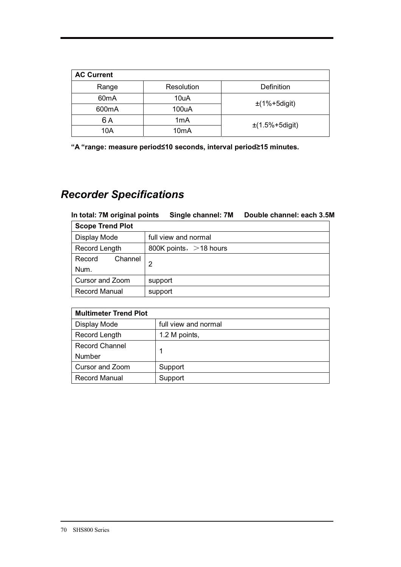| <b>AC Current</b> |                   |                   |
|-------------------|-------------------|-------------------|
| Range             | Resolution        | Definition        |
| 60 <sub>m</sub> A | 10uA              | $\pm$ (1%+5digit) |
| 600mA             | 100uA             |                   |
| 6 A               | 1 <sub>m</sub> A  |                   |
| 10A               | 10 <sub>m</sub> A | $±(1.5%+5digit)$  |

**"A "range: measure period≤10 seconds, interval period≥15 minutes.** 

## *Recorder Specifications*

**In total: 7M original points Single channel: 7M Double channel: each 3.5M** 

| <b>Scope Trend Plot</b> |                           |
|-------------------------|---------------------------|
| Display Mode            | full view and normal      |
| Record Length           | 800K points, $>$ 18 hours |
| Channel<br>Record       | 2                         |
| Num.                    |                           |
| Cursor and Zoom         | support                   |
| <b>Record Manual</b>    | support                   |

| <b>Multimeter Trend Plot</b> |                      |  |
|------------------------------|----------------------|--|
| Display Mode                 | full view and normal |  |
| Record Length                | 1.2 M points,        |  |
| <b>Record Channel</b>        |                      |  |
| Number                       |                      |  |
| Cursor and Zoom              | Support              |  |
| <b>Record Manual</b>         | Support              |  |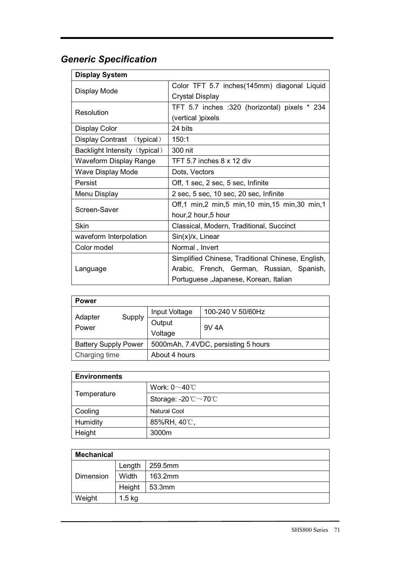## *Generic Specification*

| <b>Display System</b>         |                                                   |  |  |
|-------------------------------|---------------------------------------------------|--|--|
|                               | Color TFT 5.7 inches (145mm) diagonal Liquid      |  |  |
| Display Mode                  | <b>Crystal Display</b>                            |  |  |
| Resolution                    | TFT 5.7 inches :320 (horizontal) pixels * 234     |  |  |
|                               | (vertical )pixels                                 |  |  |
| <b>Display Color</b>          | 24 bits                                           |  |  |
| Display Contrast (typical)    | 150:1                                             |  |  |
| Backlight Intensity (typical) | 300 nit                                           |  |  |
| Waveform Display Range        | TFT 5.7 inches 8 x 12 div                         |  |  |
| Wave Display Mode             | Dots, Vectors                                     |  |  |
| Persist                       | Off, 1 sec, 2 sec, 5 sec, Infinite                |  |  |
| Menu Display                  | 2 sec, 5 sec, 10 sec, 20 sec, Infinite            |  |  |
| Screen-Saver                  | Off,1 min,2 min,5 min,10 min,15 min,30 min,1      |  |  |
|                               | hour, 2 hour, 5 hour                              |  |  |
| Skin                          | Classical, Modern, Traditional, Succinct          |  |  |
| waveform Interpolation        | $Sin(x)/x$ , Linear                               |  |  |
| Color model                   | Normal, Invert                                    |  |  |
|                               | Simplified Chinese, Traditional Chinese, English, |  |  |
| Language                      | Arabic, French, German, Russian, Spanish,         |  |  |
|                               | Portuguese, Japanese, Korean, Italian             |  |  |

| <b>Power</b>                                                       |               |                   |       |
|--------------------------------------------------------------------|---------------|-------------------|-------|
|                                                                    | Input Voltage | 100-240 V 50/60Hz |       |
| Adapter<br>Power                                                   | Supply        | Output<br>Voltage | 9V 4A |
| 5000mAh, 7.4VDC, persisting 5 hours<br><b>Battery Supply Power</b> |               |                   |       |
| Charging time<br>About 4 hours                                     |               |                   |       |

| <b>Environments</b> |                                          |
|---------------------|------------------------------------------|
| Temperature         | Work: $0 \sim 40^{\circ}$ C              |
|                     | Storage: -20 $\degree$ C ~70 $\degree$ C |
| Cooling             | Natural Cool                             |
| Humidity            | 85%RH, 40℃,                              |
| Height              | 3000m                                    |

| <b>Mechanical</b> |          |         |
|-------------------|----------|---------|
|                   | Length   | 259.5mm |
| Dimension         | Width    | 163.2mm |
|                   | Height   | 53.3mm  |
| Weight            | $1.5$ kg |         |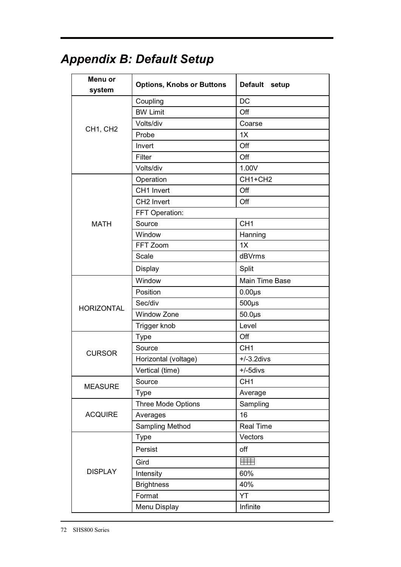#### **Menu or system Options, Knobs or Buttons Default** setup **Default** Coupling DC BW Limit **Development Off** Volts/div Coarse CH1, CH2 Probe 1X Invert of the off off off off the state of  $\sim$ Filter **Off** Volts/div 1.00V Operation CH1+CH2 CH1 Invert **Off** CH2 Invert **Off** FFT Operation: Source CH1 MATH Window **Hanning** FFT Zoom 1X Scale dBVrms Display Split Window **Main Time Base** Position 0.00μs Sec/div 500μs HORIZONTAL Window Zone 50.0μs Trigger knob **Level** Type off Source CH1 **CURSOR** Horizontal (voltage)  $+/-3.2$ divs Vertical (time)  $+/-5$ divs MEASURE Source CH1<br>Type Aver Average Three Mode Options Sampling ACQUIRE Averages 16 Sampling Method Real Time Type **Vectors** Persist **off** 手手 Gird DISPLAY Intensity 60% Brightness 140% Format YT Menu Display **Infinite**

# *Appendix B: Default Setup*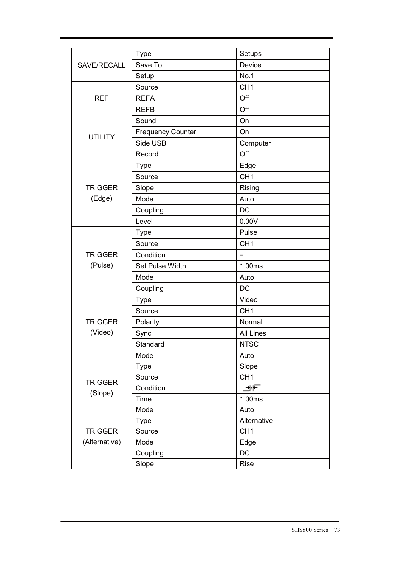| SAVE/RECALL                     | Type                     | Setups           |
|---------------------------------|--------------------------|------------------|
|                                 | Save To                  | Device           |
|                                 | Setup                    | No.1             |
| <b>REF</b>                      | Source                   | CH <sub>1</sub>  |
|                                 | <b>REFA</b>              | Off              |
|                                 | <b>REFB</b>              | Off              |
| <b>UTILITY</b>                  | Sound                    | On               |
|                                 | <b>Frequency Counter</b> | On               |
|                                 | Side USB                 | Computer         |
|                                 | Record                   | Off              |
| <b>TRIGGER</b><br>(Edge)        | Type                     | Edge             |
|                                 | Source                   | CH <sub>1</sub>  |
|                                 | Slope                    | Rising           |
|                                 | Mode                     | Auto             |
|                                 | Coupling                 | <b>DC</b>        |
|                                 | Level                    | 0.00V            |
| <b>TRIGGER</b><br>(Pulse)       | <b>Type</b>              | Pulse            |
|                                 | Source                   | CH <sub>1</sub>  |
|                                 | Condition                | $=$              |
|                                 | Set Pulse Width          | 1.00ms           |
|                                 | Mode                     | Auto             |
|                                 | Coupling                 | <b>DC</b>        |
| <b>TRIGGER</b><br>(Video)       | <b>Type</b>              | Video            |
|                                 | Source                   | CH <sub>1</sub>  |
|                                 | Polarity                 | Normal           |
|                                 | Sync                     | <b>All Lines</b> |
|                                 | Standard                 | <b>NTSC</b>      |
|                                 | Mode                     | Auto             |
| <b>TRIGGER</b><br>(Slope)       | <b>Type</b>              | Slope            |
|                                 | Source                   | CH <sub>1</sub>  |
|                                 | Condition                | ⊉⊬⊏              |
|                                 | Time                     | 1.00ms           |
|                                 | Mode                     | Auto             |
| <b>TRIGGER</b><br>(Alternative) | <b>Type</b>              | Alternative      |
|                                 | Source                   | CH <sub>1</sub>  |
|                                 | Mode                     | Edge             |
|                                 | Coupling                 | DC               |
|                                 | Slope                    | Rise             |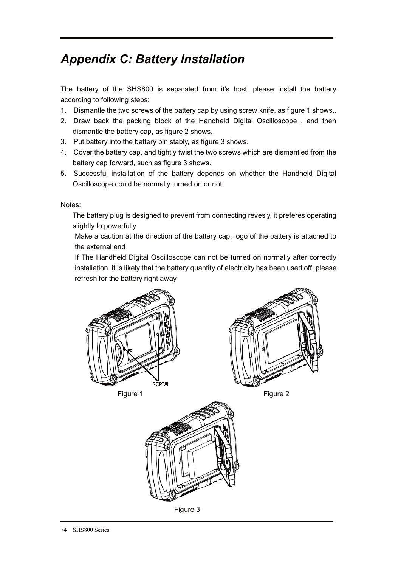# *Appendix C: Battery Installation*

The battery of the SHS800 is separated from it's host, please install the battery according to following steps:

- 1. Dismantle the two screws of the battery cap by using screw knife, as figure 1 shows..
- 2. Draw back the packing block of the Handheld Digital Oscilloscope , and then dismantle the battery cap, as figure 2 shows.
- 3. Put battery into the battery bin stably, as figure 3 shows.
- 4. Cover the battery cap, and tightly twist the two screws which are dismantled from the battery cap forward, such as figure 3 shows.
- 5. Successful installation of the battery depends on whether the Handheld Digital Oscilloscope could be normally turned on or not.

Notes:

The battery plug is designed to prevent from connecting revesly, it preferes operating slightly to powerfully

Make a caution at the direction of the battery cap, logo of the battery is attached to the external end

If The Handheld Digital Oscilloscope can not be turned on normally after correctly installation, it is likely that the battery quantity of electricity has been used off, please refresh for the battery right away



**Figure 1** Figure 2